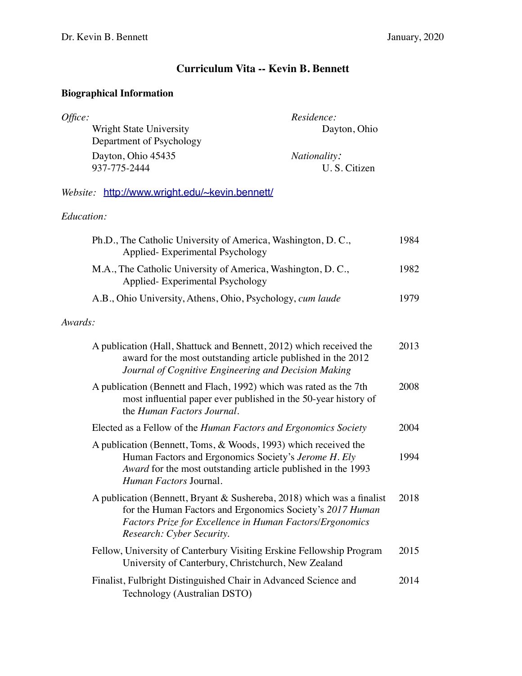## **Curriculum Vita -- Kevin B. Bennett**

## **Biographical Information**

| Office:                  | Residence:          |
|--------------------------|---------------------|
| Wright State University  | Dayton, Ohio        |
| Department of Psychology |                     |
| Dayton, Ohio 45435       | <i>Nationality:</i> |
| 937-775-2444             | U. S. Citizen       |

*Website:* <http://www.wright.edu/~kevin.bennett/>

## *Education:*

| Ph.D., The Catholic University of America, Washington, D.C.,<br>Applied-Experimental Psychology                                                                                                                              | 1984 |
|------------------------------------------------------------------------------------------------------------------------------------------------------------------------------------------------------------------------------|------|
| M.A., The Catholic University of America, Washington, D.C.,<br>Applied-Experimental Psychology                                                                                                                               | 1982 |
| A.B., Ohio University, Athens, Ohio, Psychology, cum laude                                                                                                                                                                   | 1979 |
| Awards:                                                                                                                                                                                                                      |      |
| A publication (Hall, Shattuck and Bennett, 2012) which received the<br>award for the most outstanding article published in the 2012<br>Journal of Cognitive Engineering and Decision Making                                  | 2013 |
| A publication (Bennett and Flach, 1992) which was rated as the 7th<br>most influential paper ever published in the 50-year history of<br>the Human Factors Journal.                                                          | 2008 |
| Elected as a Fellow of the <i>Human Factors and Ergonomics Society</i>                                                                                                                                                       | 2004 |
| A publication (Bennett, Toms, & Woods, 1993) which received the<br>Human Factors and Ergonomics Society's Jerome H. Ely<br>Award for the most outstanding article published in the 1993<br>Human Factors Journal.            | 1994 |
| A publication (Bennett, Bryant & Sushereba, 2018) which was a finalist<br>for the Human Factors and Ergonomics Society's 2017 Human<br>Factors Prize for Excellence in Human Factors/Ergonomics<br>Research: Cyber Security. | 2018 |
| Fellow, University of Canterbury Visiting Erskine Fellowship Program<br>University of Canterbury, Christchurch, New Zealand                                                                                                  | 2015 |
| Finalist, Fulbright Distinguished Chair in Advanced Science and<br>Technology (Australian DSTO)                                                                                                                              | 2014 |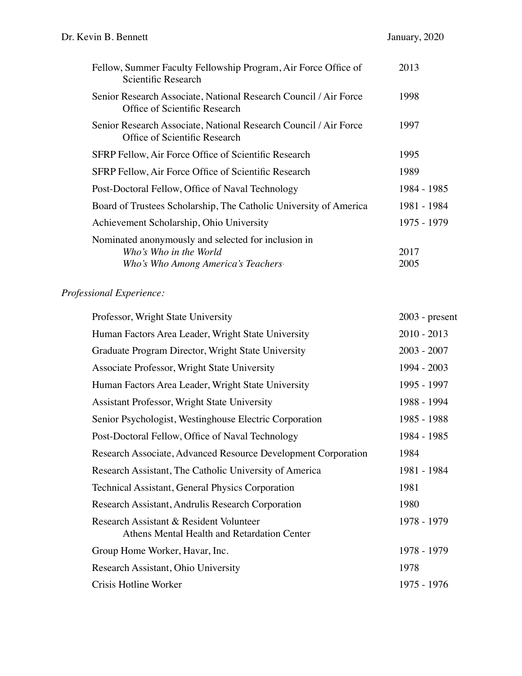| Fellow, Summer Faculty Fellowship Program, Air Force Office of<br>Scientific Research                                | 2013         |
|----------------------------------------------------------------------------------------------------------------------|--------------|
| Senior Research Associate, National Research Council / Air Force<br>Office of Scientific Research                    | 1998         |
| Senior Research Associate, National Research Council / Air Force<br>Office of Scientific Research                    | 1997         |
| SFRP Fellow, Air Force Office of Scientific Research                                                                 | 1995         |
| SFRP Fellow, Air Force Office of Scientific Research                                                                 | 1989         |
| Post-Doctoral Fellow, Office of Naval Technology                                                                     | 1984 - 1985  |
| Board of Trustees Scholarship, The Catholic University of America                                                    | 1981 - 1984  |
| Achievement Scholarship, Ohio University                                                                             | 1975 - 1979  |
| Nominated anonymously and selected for inclusion in<br>Who's Who in the World<br>Who's Who Among America's Teachers. | 2017<br>2005 |

# *Professional Experience:*

| $2003$ - present |
|------------------|
| $2010 - 2013$    |
| $2003 - 2007$    |
| 1994 - 2003      |
| 1995 - 1997      |
| 1988 - 1994      |
| 1985 - 1988      |
| 1984 - 1985      |
| 1984             |
| 1981 - 1984      |
| 1981             |
| 1980             |
| 1978 - 1979      |
| 1978 - 1979      |
| 1978             |
| 1975 - 1976      |
|                  |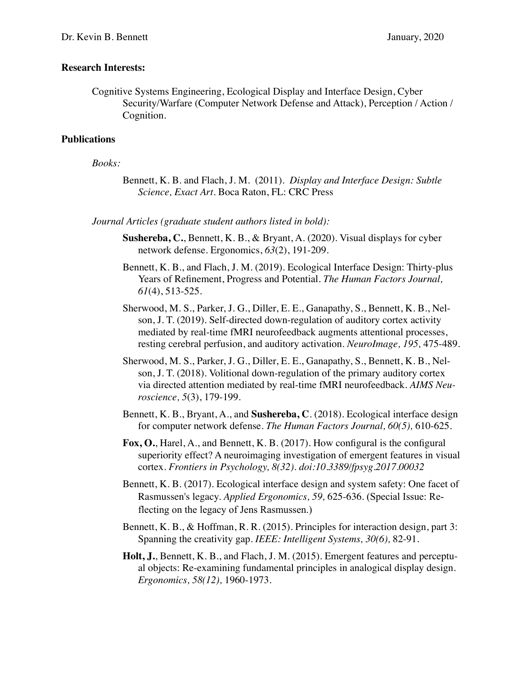#### **Research Interests:**

Cognitive Systems Engineering, Ecological Display and Interface Design, Cyber Security/Warfare (Computer Network Defense and Attack), Perception / Action / Cognition.

#### **Publications**

#### *Books:*

Bennett, K. B. and Flach, J. M. (2011). *Display and Interface Design: Subtle Science, Exact Art.* Boca Raton, FL: CRC Press

*Journal Articles (graduate student authors listed in bold):*

- **Sushereba, C.**, Bennett, K. B., & Bryant, A. (2020). Visual displays for cyber network defense. Ergonomics, *63*(2), 191-209.
- Bennett, K. B., and Flach, J. M. (2019). Ecological Interface Design: Thirty-plus Years of Refinement, Progress and Potential. *The Human Factors Journal, 61*(4), 513-525*.*
- Sherwood, M. S., Parker, J. G., Diller, E. E., Ganapathy, S., Bennett, K. B., Nelson, J. T. (2019). Self-directed down-regulation of auditory cortex activity mediated by real-time fMRI neurofeedback augments attentional processes, resting cerebral perfusion, and auditory activation. *NeuroImage, 195,* 475-489.
- Sherwood, M. S., Parker, J. G., Diller, E. E., Ganapathy, S., Bennett, K. B., Nelson, J. T. (2018). Volitional down-regulation of the primary auditory cortex via directed attention mediated by real-time fMRI neurofeedback. *AIMS Neuroscience, 5*(3), 179-199.
- Bennett, K. B., Bryant, A., and **Sushereba, C**. (2018). Ecological interface design for computer network defense. *The Human Factors Journal, 60(5),* 610-625*.*
- **Fox, O.**, Harel, A., and Bennett, K. B. (2017). How configural is the configural superiority effect? A neuroimaging investigation of emergent features in visual cortex. *Frontiers in Psychology, 8(32). doi:10.3389/fpsyg.2017.00032*
- Bennett, K. B. (2017). Ecological interface design and system safety: One facet of Rasmussen's legacy. *Applied Ergonomics, 59,* 625-636*.* (Special Issue: Reflecting on the legacy of Jens Rasmussen.)
- Bennett, K. B., & Hoffman, R. R. (2015). Principles for interaction design, part 3: Spanning the creativity gap. *IEEE: Intelligent Systems, 30(6),* 82-91*.*

**Holt, J.**, Bennett, K. B., and Flach, J. M. (2015). Emergent features and perceptual objects: Re-examining fundamental principles in analogical display design. *Ergonomics, 58(12),* 1960-1973*.*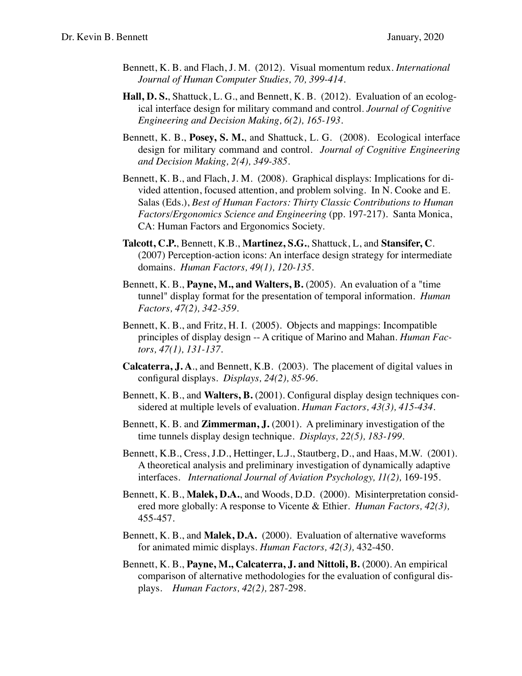- Bennett, K. B. and Flach, J. M. (2012). Visual momentum redux*. International Journal of Human Computer Studies, 70, 399-414.*
- **Hall, D. S.**, Shattuck, L. G., and Bennett, K. B. (2012). Evaluation of an ecological interface design for military command and control. *Journal of Cognitive Engineering and Decision Making, 6(2), 165-193.*
- Bennett, K. B., **Posey, S. M.**, and Shattuck, L. G. (2008). Ecological interface design for military command and control. *Journal of Cognitive Engineering and Decision Making, 2(4), 349-385*.
- Bennett, K. B., and Flach, J. M. (2008). Graphical displays: Implications for divided attention, focused attention, and problem solving. In N. Cooke and E. Salas (Eds.), *Best of Human Factors: Thirty Classic Contributions to Human Factors/Ergonomics Science and Engineering* (pp. 197-217). Santa Monica, CA: Human Factors and Ergonomics Society.
- **Talcott, C.P.**, Bennett, K.B., **Martinez, S.G.**, Shattuck, L, and **Stansifer, C**. (2007) Perception-action icons: An interface design strategy for intermediate domains. *Human Factors, 49(1), 120-135*.
- Bennett, K. B., **Payne, M., and Walters, B.** (2005). An evaluation of a "time tunnel" display format for the presentation of temporal information. *Human Factors, 47(2), 342-359*.
- Bennett, K. B., and Fritz, H. I. (2005). Objects and mappings: Incompatible principles of display design -- A critique of Marino and Mahan. *Human Factors, 47(1), 131-137*.
- **Calcaterra, J. A**., and Bennett, K.B. (2003). The placement of digital values in configural displays. *Displays, 24(2), 85-96*.
- Bennett, K. B., and **Walters, B.** (2001). Configural display design techniques considered at multiple levels of evaluation. *Human Factors, 43(3), 415-434*.
- Bennett, K. B. and **Zimmerman, J.** (2001). A preliminary investigation of the time tunnels display design technique. *Displays, 22(5), 183-199*.
- Bennett, K.B., Cress, J.D., Hettinger, L.J., Stautberg, D., and Haas, M.W. (2001). A theoretical analysis and preliminary investigation of dynamically adaptive interfaces. *International Journal of Aviation Psychology, 11(2),* 169-195.
- Bennett, K. B., **Malek, D.A.**, and Woods, D.D. (2000). Misinterpretation considered more globally: A response to Vicente & Ethier*. Human Factors, 42(3),* 455-457.
- Bennett, K. B., and **Malek, D.A.** (2000). Evaluation of alternative waveforms for animated mimic displays. *Human Factors, 42(3),* 432-450.
- Bennett, K. B., **Payne, M., Calcaterra, J. and Nittoli, B.** (2000). An empirical comparison of alternative methodologies for the evaluation of configural displays. *Human Factors, 42(2),* 287-298.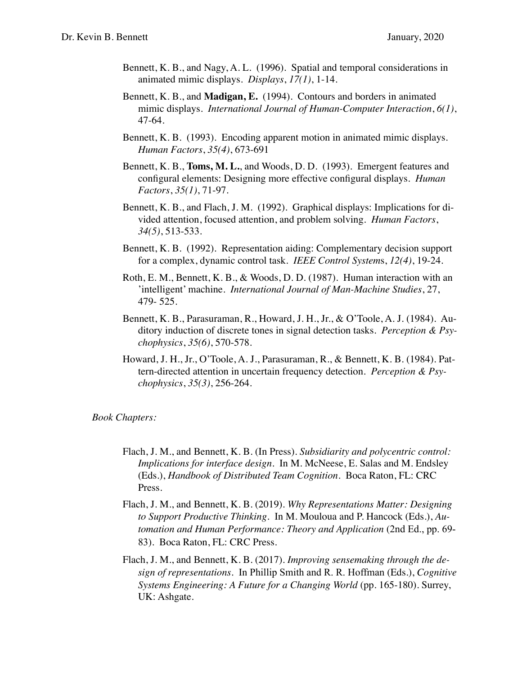- Bennett, K. B., and Nagy, A. L. (1996). Spatial and temporal considerations in animated mimic displays. *Displays*, *17(1)*, 1-14.
- Bennett, K. B., and **Madigan, E.** (1994). Contours and borders in animated mimic displays. *International Journal of Human-Computer Interaction*, *6(1)*, 47-64.
- Bennett, K. B. (1993). Encoding apparent motion in animated mimic displays. *Human Factors*, *35(4)*, 673-691
- Bennett, K. B., **Toms, M. L.**, and Woods, D. D. (1993). Emergent features and configural elements: Designing more effective configural displays. *Human Factors*, *35(1)*, 71-97.
- Bennett, K. B., and Flach, J. M. (1992). Graphical displays: Implications for divided attention, focused attention, and problem solving. *Human Factors*, *34(5)*, 513-533.
- Bennett, K. B. (1992). Representation aiding: Complementary decision support for a complex, dynamic control task. *IEEE Control System*s, *12(4)*, 19-24.
- Roth, E. M., Bennett, K. B., & Woods, D. D. (1987). Human interaction with an 'intelligent' machine. *International Journal of Man-Machine Studies*, 27, 479- 525.
- Bennett, K. B., Parasuraman, R., Howard, J. H., Jr., & O'Toole, A. J. (1984). Auditory induction of discrete tones in signal detection tasks. *Perception & Psychophysics*, *35(6)*, 570-578.
- Howard, J. H., Jr., O'Toole, A. J., Parasuraman, R., & Bennett, K. B. (1984). Pattern-directed attention in uncertain frequency detection. *Perception & Psychophysics*, *35(3)*, 256-264.

#### *Book Chapters:*

- Flach, J. M., and Bennett, K. B. (In Press). *Subsidiarity and polycentric control: Implications for interface design.* In M. McNeese, E. Salas and M. Endsley (Eds.), *Handbook of Distributed Team Cognition*. Boca Raton, FL: CRC Press.
- Flach, J. M., and Bennett, K. B. (2019). *Why Representations Matter: Designing to Support Productive Thinking.* In M. Mouloua and P. Hancock (Eds.), *Automation and Human Performance: Theory and Application* (2nd Ed., pp. 69- 83). Boca Raton, FL: CRC Press.
- Flach, J. M., and Bennett, K. B. (2017). *Improving sensemaking through the design of representations.* In Phillip Smith and R. R. Hoffman (Eds.), *Cognitive Systems Engineering: A Future for a Changing World* (pp. 165-180). Surrey, UK: Ashgate.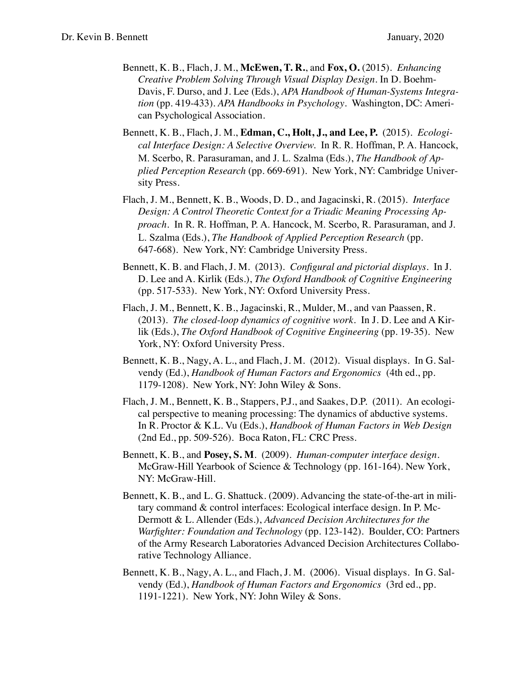- Bennett, K. B., Flach, J. M., **McEwen, T. R.**, and **Fox, O.** (2015). *Enhancing Creative Problem Solving Through Visual Display Design*. In D. Boehm-Davis, F. Durso, and J. Lee (Eds.), *APA Handbook of Human-Systems Integration* (pp. 419-433)*. APA Handbooks in Psychology*. Washington, DC: American Psychological Association.
- Bennett, K. B., Flach, J. M., **Edman, C., Holt, J., and Lee, P.** (2015). *Ecological Interface Design: A Selective Overview.* In R. R. Hoffman, P. A. Hancock, M. Scerbo, R. Parasuraman, and J. L. Szalma (Eds.), *The Handbook of Applied Perception Research* (pp. 669-691). New York, NY: Cambridge University Press.
- Flach, J. M., Bennett, K. B., Woods, D. D., and Jagacinski, R. (2015). *Interface Design: A Control Theoretic Context for a Triadic Meaning Processing Approach.* In R. R. Hoffman, P. A. Hancock, M. Scerbo, R. Parasuraman, and J. L. Szalma (Eds.), *The Handbook of Applied Perception Research* (pp. 647-668). New York, NY: Cambridge University Press.
- Bennett, K. B. and Flach, J. M. (2013). *Configural and pictorial displays.* In J. D. Lee and A. Kirlik (Eds.), *The Oxford Handbook of Cognitive Engineering*  (pp. 517-533). New York, NY: Oxford University Press.
- Flach, J. M., Bennett, K. B., Jagacinski, R., Mulder, M., and van Paassen, R. (2013). *The closed-loop dynamics of cognitive work.* In J. D. Lee and A Kirlik (Eds.), *The Oxford Handbook of Cognitive Engineering* (pp. 19-35). New York, NY: Oxford University Press.
- Bennett, K. B., Nagy, A. L., and Flach, J. M. (2012). Visual displays. In G. Salvendy (Ed.), *Handbook of Human Factors and Ergonomics* (4th ed., pp. 1179-1208). New York, NY: John Wiley & Sons.
- Flach, J. M., Bennett, K. B., Stappers, P.J., and Saakes, D.P. (2011). An ecological perspective to meaning processing: The dynamics of abductive systems. In R. Proctor & K.L. Vu (Eds.), *Handbook of Human Factors in Web Design* (2nd Ed., pp. 509-526). Boca Raton, FL: CRC Press.
- Bennett, K. B., and **Posey, S. M**. (2009). *Human-computer interface design*. McGraw-Hill Yearbook of Science & Technology (pp. 161-164). New York, NY: McGraw-Hill.
- Bennett, K. B., and L. G. Shattuck. (2009). Advancing the state-of-the-art in military command & control interfaces: Ecological interface design. In P. Mc-Dermott & L. Allender (Eds.), *Advanced Decision Architectures for the Warfighter: Foundation and Technology* (pp. 123-142). Boulder, CO: Partners of the Army Research Laboratories Advanced Decision Architectures Collaborative Technology Alliance.
- Bennett, K. B., Nagy, A. L., and Flach, J. M. (2006). Visual displays. In G. Salvendy (Ed.), *Handbook of Human Factors and Ergonomics* (3rd ed., pp. 1191-1221). New York, NY: John Wiley & Sons.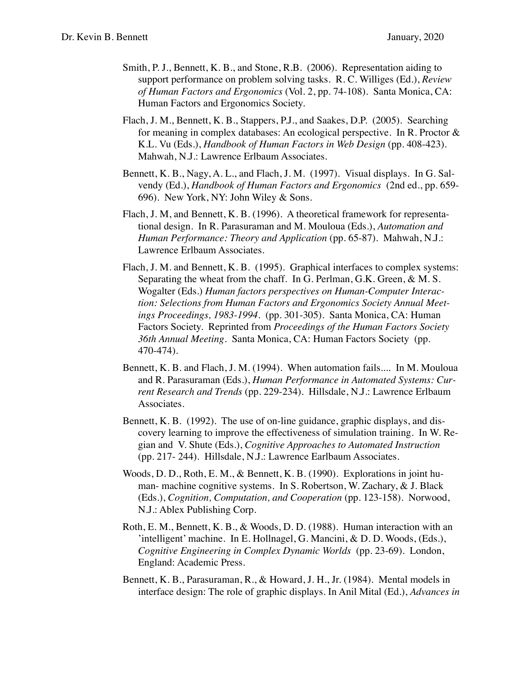- Smith, P. J., Bennett, K. B., and Stone, R.B. (2006). Representation aiding to support performance on problem solving tasks. R. C. Williges (Ed.), *Review of Human Factors and Ergonomics* (Vol. 2, pp. 74-108). Santa Monica, CA: Human Factors and Ergonomics Society.
- Flach, J. M., Bennett, K. B., Stappers, P.J., and Saakes, D.P. (2005). Searching for meaning in complex databases: An ecological perspective. In R. Proctor & K.L. Vu (Eds.), *Handbook of Human Factors in Web Design* (pp. 408-423). Mahwah, N.J.: Lawrence Erlbaum Associates.
- Bennett, K. B., Nagy, A. L., and Flach, J. M. (1997). Visual displays. In G. Salvendy (Ed.), *Handbook of Human Factors and Ergonomics* (2nd ed., pp. 659- 696). New York, NY: John Wiley & Sons.
- Flach, J. M, and Bennett, K. B. (1996). A theoretical framework for representational design. In R. Parasuraman and M. Mouloua (Eds.), *Automation and Human Performance: Theory and Application* (pp. 65-87). Mahwah, N.J.: Lawrence Erlbaum Associates.
- Flach, J. M. and Bennett, K. B. (1995). Graphical interfaces to complex systems: Separating the wheat from the chaff. In G. Perlman, G.K. Green, & M. S. Wogalter (Eds.) *Human factors perspectives on Human-Computer Interaction: Selections from Human Factors and Ergonomics Society Annual Meetings Proceedings, 1983-1994*. (pp. 301-305). Santa Monica, CA: Human Factors Society. Reprinted from *Proceedings of the Human Factors Society 36th Annual Meeting*. Santa Monica, CA: Human Factors Society (pp. 470-474).
- Bennett, K. B. and Flach, J. M. (1994). When automation fails.... In M. Mouloua and R. Parasuraman (Eds.), *Human Performance in Automated Systems: Current Research and Trends* (pp. 229-234). Hillsdale, N.J.: Lawrence Erlbaum Associates.
- Bennett, K. B. (1992). The use of on-line guidance, graphic displays, and discovery learning to improve the effectiveness of simulation training. In W. Regian and V. Shute (Eds.), *Cognitive Approaches to Automated Instruction* (pp. 217- 244). Hillsdale, N.J.: Lawrence Earlbaum Associates.
- Woods, D. D., Roth, E. M., & Bennett, K. B. (1990). Explorations in joint human- machine cognitive systems. In S. Robertson, W. Zachary, & J. Black (Eds.), *Cognition, Computation, and Cooperation* (pp. 123-158). Norwood, N.J.: Ablex Publishing Corp.
- Roth, E. M., Bennett, K. B., & Woods, D. D. (1988). Human interaction with an 'intelligent' machine. In E. Hollnagel, G. Mancini, & D. D. Woods, (Eds.), *Cognitive Engineering in Complex Dynamic Worlds* (pp. 23-69). London, England: Academic Press.
- Bennett, K. B., Parasuraman, R., & Howard, J. H., Jr. (1984). Mental models in interface design: The role of graphic displays. In Anil Mital (Ed.), *Advances in*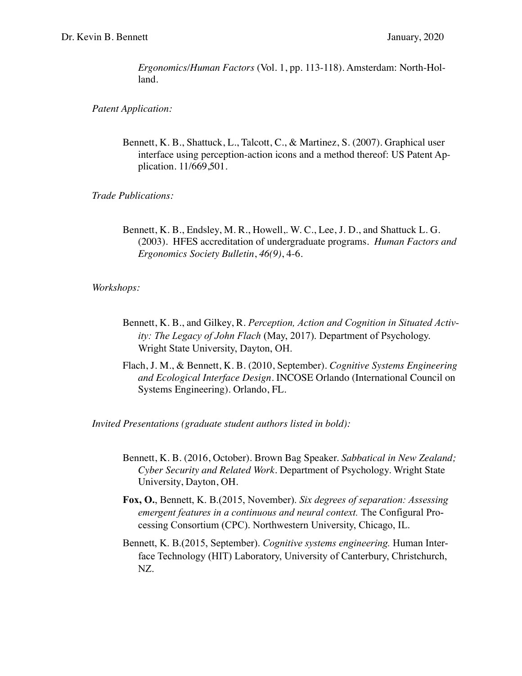*Ergonomics/Human Factors* (Vol. 1, pp. 113-118)*.* Amsterdam: North-Holland.

*Patent Application:*

Bennett, K. B., Shattuck, L., Talcott, C., & Martinez, S. (2007). Graphical user interface using perception-action icons and a method thereof: US Patent Application. 11/669,501.

*Trade Publications:*

Bennett, K. B., Endsley, M. R., Howell,. W. C., Lee, J. D., and Shattuck L. G. (2003). HFES accreditation of undergraduate programs. *Human Factors and Ergonomics Society Bulletin*, *46(9)*, 4-6.

*Workshops:*

- Bennett, K. B., and Gilkey, R. *Perception, Action and Cognition in Situated Activity: The Legacy of John Flach* (May, 2017). Department of Psychology. Wright State University, Dayton, OH.
- Flach, J. M., & Bennett, K. B. (2010, September). *Cognitive Systems Engineering and Ecological Interface Design*. INCOSE Orlando (International Council on Systems Engineering). Orlando, FL.

*Invited Presentations (graduate student authors listed in bold):* 

- Bennett, K. B. (2016, October). Brown Bag Speaker. *Sabbatical in New Zealand; Cyber Security and Related Work.* Department of Psychology. Wright State University, Dayton, OH.
- **Fox, O.**, Bennett, K. B.(2015, November). *Six degrees of separation: Assessing emergent features in a continuous and neural context.* The Configural Processing Consortium (CPC). Northwestern University, Chicago, IL.
- Bennett, K. B.(2015, September). *Cognitive systems engineering.* Human Interface Technology (HIT) Laboratory, University of Canterbury, Christchurch, NZ.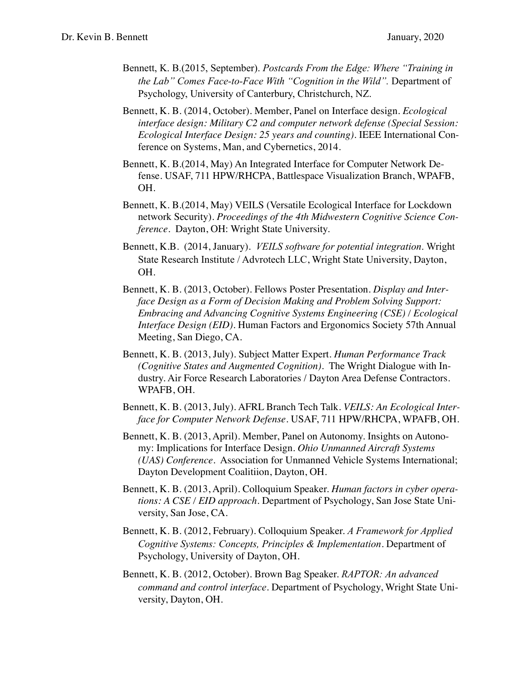- Bennett, K. B.(2015, September). *Postcards From the Edge: Where "Training in the Lab" Comes Face-to-Face With "Cognition in the Wild".* Department of Psychology, University of Canterbury, Christchurch, NZ.
- Bennett, K. B. (2014, October). Member, Panel on Interface design. *Ecological interface design: Military C2 and computer network defense (Special Session: Ecological Interface Design: 25 years and counting)*. IEEE International Conference on Systems, Man, and Cybernetics, 2014.
- Bennett, K. B.(2014, May) An Integrated Interface for Computer Network Defense. USAF, 711 HPW/RHCPA, Battlespace Visualization Branch, WPAFB, OH.
- Bennett, K. B.(2014, May) VEILS (Versatile Ecological Interface for Lockdown network Security). *Proceedings of the 4th Midwestern Cognitive Science Conference*. Dayton, OH: Wright State University.
- Bennett, K.B. (2014, January). *VEILS software for potential integration*. Wright State Research Institute / Advrotech LLC, Wright State University, Dayton, OH.
- Bennett, K. B. (2013, October). Fellows Poster Presentation. *Display and Interface Design as a Form of Decision Making and Problem Solving Support: Embracing and Advancing Cognitive Systems Engineering (CSE) / Ecological Interface Design (EID)*. Human Factors and Ergonomics Society 57th Annual Meeting, San Diego, CA.
- Bennett, K. B. (2013, July). Subject Matter Expert. *Human Performance Track (Cognitive States and Augmented Cognition)*. The Wright Dialogue with Industry. Air Force Research Laboratories / Dayton Area Defense Contractors. WPAFB, OH.
- Bennett, K. B. (2013, July). AFRL Branch Tech Talk. *VEILS: An Ecological Interface for Computer Network Defense*. USAF, 711 HPW/RHCPA, WPAFB, OH.
- Bennett, K. B. (2013, April). Member, Panel on Autonomy. Insights on Autonomy: Implications for Interface Design. *Ohio Unmanned Aircraft Systems (UAS) Conference*. Association for Unmanned Vehicle Systems International; Dayton Development Coalitiion, Dayton, OH.
- Bennett, K. B. (2013, April). Colloquium Speaker. *Human factors in cyber operations: A CSE / EID approach*. Department of Psychology, San Jose State University, San Jose, CA.
- Bennett, K. B. (2012, February). Colloquium Speaker. *A Framework for Applied Cognitive Systems: Concepts, Principles & Implementation*. Department of Psychology, University of Dayton, OH.
- Bennett, K. B. (2012, October). Brown Bag Speaker. *RAPTOR: An advanced command and control interface*. Department of Psychology, Wright State University, Dayton, OH.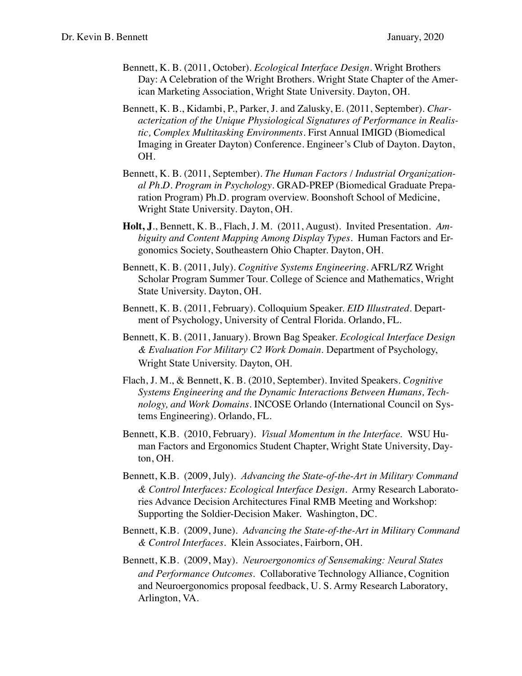- Bennett, K. B. (2011, October). *Ecological Interface Design*. Wright Brothers Day: A Celebration of the Wright Brothers. Wright State Chapter of the American Marketing Association, Wright State University. Dayton, OH.
- Bennett, K. B., Kidambi, P., Parker, J. and Zalusky, E. (2011, September). *Characterization of the Unique Physiological Signatures of Performance in Realistic, Complex Multitasking Environments*. First Annual IMIGD (Biomedical Imaging in Greater Dayton) Conference. Engineer's Club of Dayton. Dayton, OH.
- Bennett, K. B. (2011, September). *The Human Factors / Industrial Organizational Ph.D. Program in Psychology*. GRAD-PREP (Biomedical Graduate Preparation Program) Ph.D. program overview. Boonshoft School of Medicine, Wright State University. Dayton, OH.
- **Holt, J**., Bennett, K. B., Flach, J. M. (2011, August). Invited Presentation. *Ambiguity and Content Mapping Among Display Types*. Human Factors and Ergonomics Society, Southeastern Ohio Chapter. Dayton, OH.
- Bennett, K. B. (2011, July). *Cognitive Systems Engineering*. AFRL/RZ Wright Scholar Program Summer Tour. College of Science and Mathematics, Wright State University. Dayton, OH.
- Bennett, K. B. (2011, February). Colloquium Speaker. *EID Illustrated*. Department of Psychology, University of Central Florida. Orlando, FL.
- Bennett, K. B. (2011, January). Brown Bag Speaker. *Ecological Interface Design & Evaluation For Military C2 Work Domain*. Department of Psychology, Wright State University. Dayton, OH.
- Flach, J. M., & Bennett, K. B. (2010, September). Invited Speakers. *Cognitive Systems Engineering and the Dynamic Interactions Between Humans, Technology, and Work Domains*. INCOSE Orlando (International Council on Systems Engineering). Orlando, FL.
- Bennett, K.B. (2010, February). *Visual Momentum in the Interface*. WSU Human Factors and Ergonomics Student Chapter, Wright State University, Dayton, OH.
- Bennett, K.B. (2009, July). *Advancing the State-of-the-Art in Military Command & Control Interfaces: Ecological Interface Design*. Army Research Laboratories Advance Decision Architectures Final RMB Meeting and Workshop: Supporting the Soldier-Decision Maker. Washington, DC.
- Bennett, K.B. (2009, June). *Advancing the State-of-the-Art in Military Command & Control Interfaces*. Klein Associates, Fairborn, OH.
- Bennett, K.B. (2009, May). *Neuroergonomics of Sensemaking: Neural States and Performance Outcomes*. Collaborative Technology Alliance, Cognition and Neuroergonomics proposal feedback, U. S. Army Research Laboratory, Arlington, VA.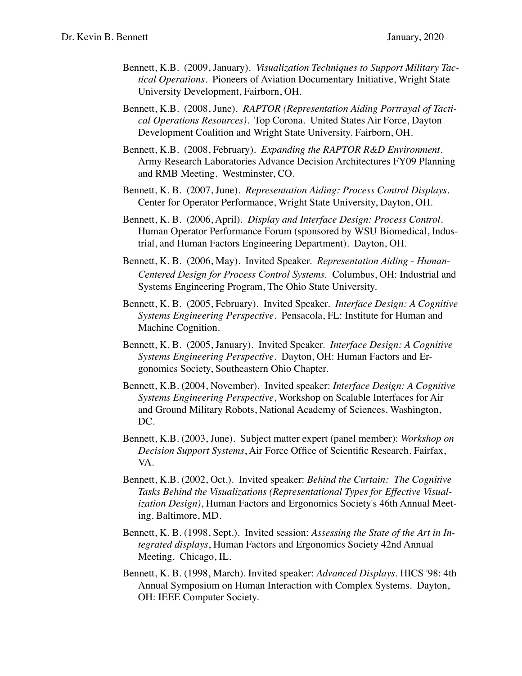- Bennett, K.B. (2009, January). *Visualization Techniques to Support Military Tactical Operations*. Pioneers of Aviation Documentary Initiative, Wright State University Development, Fairborn, OH.
- Bennett, K.B. (2008, June). *RAPTOR (Representation Aiding Portrayal of Tactical Operations Resources)*. Top Corona. United States Air Force, Dayton Development Coalition and Wright State University. Fairborn, OH.
- Bennett, K.B. (2008, February). *Expanding the RAPTOR R&D Environment*. Army Research Laboratories Advance Decision Architectures FY09 Planning and RMB Meeting. Westminster, CO.
- Bennett, K. B. (2007, June). *Representation Aiding: Process Control Displays.*  Center for Operator Performance, Wright State University, Dayton, OH.
- Bennett, K. B. (2006, April). *Display and Interface Design: Process Control.*  Human Operator Performance Forum (sponsored by WSU Biomedical, Industrial, and Human Factors Engineering Department). Dayton, OH.
- Bennett, K. B. (2006, May). Invited Speaker. *Representation Aiding Human-Centered Design for Process Control Systems.* Columbus, OH: Industrial and Systems Engineering Program, The Ohio State University.
- Bennett, K. B. (2005, February). Invited Speaker. *Interface Design: A Cognitive Systems Engineering Perspective*. Pensacola, FL: Institute for Human and Machine Cognition.
- Bennett, K. B. (2005, January). Invited Speaker. *Interface Design: A Cognitive Systems Engineering Perspective*. Dayton, OH: Human Factors and Ergonomics Society, Southeastern Ohio Chapter.
- Bennett, K.B. (2004, November). Invited speaker: *Interface Design: A Cognitive Systems Engineering Perspective*, Workshop on Scalable Interfaces for Air and Ground Military Robots, National Academy of Sciences. Washington, DC.
- Bennett, K.B. (2003, June). Subject matter expert (panel member): *Workshop on Decision Support Systems*, Air Force Office of Scientific Research. Fairfax, VA.
- Bennett, K.B. (2002, Oct.). Invited speaker: *Behind the Curtain: The Cognitive Tasks Behind the Visualizations (Representational Types for Effective Visualization Design)*, Human Factors and Ergonomics Society's 46th Annual Meeting. Baltimore, MD.
- Bennett, K. B. (1998, Sept.). Invited session: *Assessing the State of the Art in Integrated displays*, Human Factors and Ergonomics Society 42nd Annual Meeting. Chicago, IL.
- Bennett, K. B. (1998, March). Invited speaker: *Advanced Displays.* HICS '98: 4th Annual Symposium on Human Interaction with Complex Systems. Dayton, OH: IEEE Computer Society.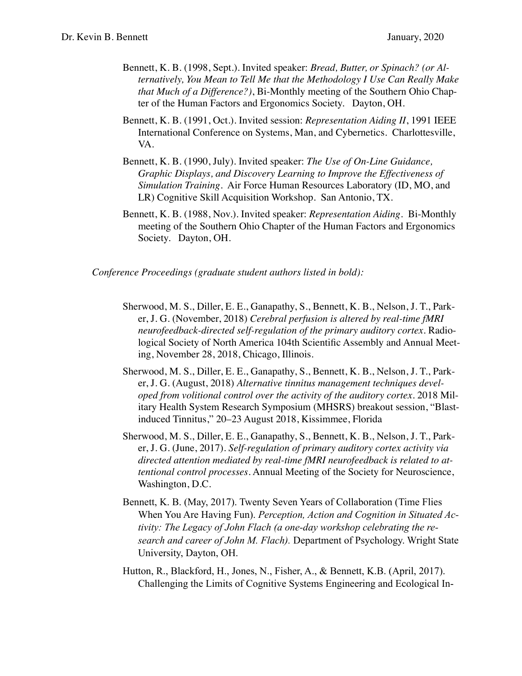- Bennett, K. B. (1998, Sept.). Invited speaker: *Bread, Butter, or Spinach? (or Alternatively, You Mean to Tell Me that the Methodology I Use Can Really Make that Much of a Difference?)*, Bi-Monthly meeting of the Southern Ohio Chapter of the Human Factors and Ergonomics Society. Dayton, OH.
- Bennett, K. B. (1991, Oct.). Invited session: *Representation Aiding II*, 1991 IEEE International Conference on Systems, Man, and Cybernetics. Charlottesville, VA.
- Bennett, K. B. (1990, July). Invited speaker: *The Use of On-Line Guidance, Graphic Displays, and Discovery Learning to Improve the Effectiveness of Simulation Training*. Air Force Human Resources Laboratory (ID, MO, and LR) Cognitive Skill Acquisition Workshop. San Antonio, TX.
- Bennett, K. B. (1988, Nov.). Invited speaker: *Representation Aiding*. Bi-Monthly meeting of the Southern Ohio Chapter of the Human Factors and Ergonomics Society. Dayton, OH.

*Conference Proceedings (graduate student authors listed in bold):*

- Sherwood, M. S., Diller, E. E., Ganapathy, S., Bennett, K. B., Nelson, J. T., Parker, J. G. (November, 2018) *Cerebral perfusion is altered by real-time fMRI neurofeedback-directed self-regulation of the primary auditory cortex.* Radiological Society of North America 104th Scientific Assembly and Annual Meeting, November 28, 2018, Chicago, Illinois.
- Sherwood, M. S., Diller, E. E., Ganapathy, S., Bennett, K. B., Nelson, J. T., Parker, J. G. (August, 2018) *Alternative tinnitus management techniques developed from volitional control over the activity of the auditory cortex.* 2018 Military Health System Research Symposium (MHSRS) breakout session, "Blastinduced Tinnitus," 20–23 August 2018, Kissimmee, Florida
- Sherwood, M. S., Diller, E. E., Ganapathy, S., Bennett, K. B., Nelson, J. T., Parker, J. G. (June, 2017). *Self-regulation of primary auditory cortex activity via directed attention mediated by real-time fMRI neurofeedback is related to attentional control processes*. Annual Meeting of the Society for Neuroscience, Washington, D.C.
- Bennett, K. B. (May, 2017). Twenty Seven Years of Collaboration (Time Flies When You Are Having Fun). *Perception, Action and Cognition in Situated Activity: The Legacy of John Flach (a one-day workshop celebrating the research and career of John M. Flach).* Department of Psychology. Wright State University, Dayton, OH.
- Hutton, R., Blackford, H., Jones, N., Fisher, A., & Bennett, K.B. (April, 2017). Challenging the Limits of Cognitive Systems Engineering and Ecological In-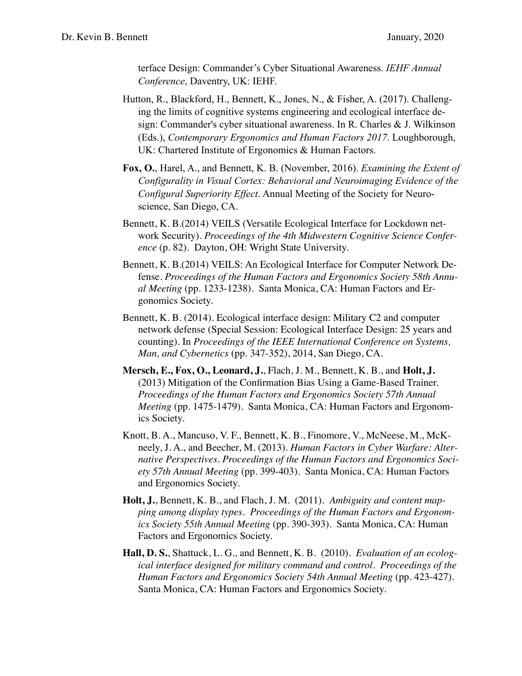terface Design: Commander's Cyber Situational Awareness. *IEHF Annual Conference*, Daventry, UK: IEHF.

- Hutton, R., Blackford, H., Bennett, K., Jones, N., & Fisher, A. (2017). Challenging the limits of cognitive systems engineering and ecological interface design: Commander's cyber situational awareness. In R. Charles & J. Wilkinson (Eds.), *Contemporary Ergonomics and Human Factors 2017*. Loughborough, UK: Chartered Institute of Ergonomics & Human Factors.
- **Fox, O.**, Harel, A., and Bennett, K. B. (November, 2016). *Examining the Extent of Configurality in Visual Cortex: Behavioral and Neuroimaging Evidence of the Configural Superiority Effect*. Annual Meeting of the Society for Neuroscience, San Diego, CA.
- Bennett, K. B.(2014) VEILS (Versatile Ecological Interface for Lockdown network Security). *Proceedings of the 4th Midwestern Cognitive Science Conference* (p. 82). Dayton, OH: Wright State University.
- Bennett, K. B.(2014) VEILS: An Ecological Interface for Computer Network Defense. *Proceedings of the Human Factors and Ergonomics Society 58th Annual Meeting* (pp. 1233-1238). Santa Monica, CA: Human Factors and Ergonomics Society.
- Bennett, K. B. (2014). Ecological interface design: Military C2 and computer network defense (Special Session: Ecological Interface Design: 25 years and counting). In *Proceedings of the IEEE International Conference on Systems, Man, and Cybernetics* (pp. 347-352), 2014, San Diego, CA.
- **Mersch, E., Fox, O., Leonard, J.**, Flach, J. M., Bennett, K. B., and **Holt, J.** (2013) Mitigation of the Confirmation Bias Using a Game-Based Trainer. *Proceedings of the Human Factors and Ergonomics Society 57th Annual Meeting* (pp. 1475-1479). Santa Monica, CA: Human Factors and Ergonomics Society.
- Knott, B. A., Mancuso, V. F., Bennett, K. B., Finomore, V., McNeese, M., McKneely, J. A., and Beecher, M. (2013). *Human Factors in Cyber Warfare: Alternative Perspectives*. *Proceedings of the Human Factors and Ergonomics Society 57th Annual Meeting* (pp. 399-403). Santa Monica, CA: Human Factors and Ergonomics Society.
- **Holt, J.**, Bennett, K. B., and Flach, J. M. (2011). *Ambiguity and content mapping among display types*. *Proceedings of the Human Factors and Ergonomics Society 55th Annual Meeting* (pp. 390-393). Santa Monica, CA: Human Factors and Ergonomics Society.
- **Hall, D. S.**, Shattuck, L. G., and Bennett, K. B. (2010). *Evaluation of an ecological interface designed for military command and control*. *Proceedings of the Human Factors and Ergonomics Society 54th Annual Meeting (pp. 423-427).* Santa Monica, CA: Human Factors and Ergonomics Society.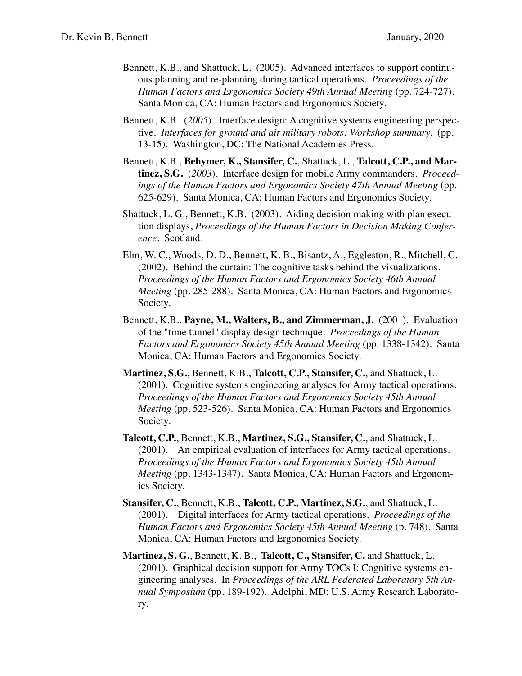- Bennett, K.B., and Shattuck, L. (2005). Advanced interfaces to support continuous planning and re-planning during tactical operations. *Proceedings of the Human Factors and Ergonomics Society 49th Annual Meeting (pp. 724-727).* Santa Monica, CA: Human Factors and Ergonomics Society.
- Bennett, K.B. (*2005*). Interface design: A cognitive systems engineering perspective. *Interfaces for ground and air military robots: Workshop summary.* (pp*.*  13-15). Washington, DC: The National Academies Press.
- Bennett, K.B., **Behymer, K., Stansifer, C.**, Shattuck, L., **Talcott, C.P., and Martinez, S.G.** (*2003*). Interface design for mobile Army commanders. *Proceedings of the Human Factors and Ergonomics Society 47th Annual Meeting* (pp*.*  625-629). Santa Monica, CA: Human Factors and Ergonomics Society.
- Shattuck, L. G., Bennett, K.B. (2003). Aiding decision making with plan execution displays, *Proceedings of the Human Factors in Decision Making Conference*. Scotland.
- Elm, W. C., Woods, D. D., Bennett, K. B., Bisantz, A., Eggleston, R., Mitchell, C. (2002). Behind the curtain: The cognitive tasks behind the visualizations. *Proceedings of the Human Factors and Ergonomics Society 46th Annual Meeting* (pp. 285-288). Santa Monica, CA: Human Factors and Ergonomics Society.
- Bennett, K.B., **Payne, M., Walters, B., and Zimmerman, J.** (2001). Evaluation of the "time tunnel" display design technique. *Proceedings of the Human Factors and Ergonomics Society 45th Annual Meeting* (pp. 1338-1342). Santa Monica, CA: Human Factors and Ergonomics Society.
- **Martinez, S.G.**, Bennett, K.B., **Talcott, C.P., Stansifer, C.**, and Shattuck, L. (2001). Cognitive systems engineering analyses for Army tactical operations. *Proceedings of the Human Factors and Ergonomics Society 45th Annual Meeting (pp. 523-526).* Santa Monica, CA: Human Factors and Ergonomics Society.
- **Talcott, C.P.**, Bennett, K.B., **Martinez, S.G., Stansifer, C.**, and Shattuck, L. (2001). An empirical evaluation of interfaces for Army tactical operations. *Proceedings of the Human Factors and Ergonomics Society 45th Annual Meeting* (pp. 1343-1347). Santa Monica, CA: Human Factors and Ergonomics Society.
- **Stansifer, C.**, Bennett, K.B., **Talcott, C.P., Martinez, S.G.**, and Shattuck, L. (2001). Digital interfaces for Army tactical operations. *Proceedings of the Human Factors and Ergonomics Society 45th Annual Meeting (p. 748). Santa* Monica, CA: Human Factors and Ergonomics Society.
- **Martinez, S. G.**, Bennett, K. B., **Talcott, C., Stansifer, C.** and Shattuck, L. (2001). Graphical decision support for Army TOCs I: Cognitive systems engineering analyses. In *Proceedings of the ARL Federated Laboratory 5th Annual Symposium* (pp. 189-192). Adelphi, MD: U.S. Army Research Laboratory.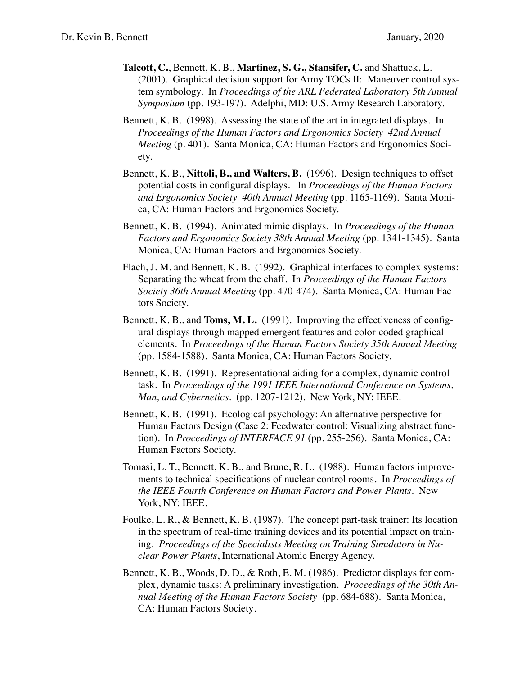- **Talcott, C.**, Bennett, K. B., **Martinez, S. G., Stansifer, C.** and Shattuck, L. (2001). Graphical decision support for Army TOCs II: Maneuver control system symbology. In *Proceedings of the ARL Federated Laboratory 5th Annual Symposium* (pp. 193-197). Adelphi, MD: U.S. Army Research Laboratory.
- Bennett, K. B. (1998). Assessing the state of the art in integrated displays. In *Proceedings of the Human Factors and Ergonomics Society 42nd Annual Meeting* (p. 401). Santa Monica, CA: Human Factors and Ergonomics Society.
- Bennett, K. B., **Nittoli, B., and Walters, B.** (1996). Design techniques to offset potential costs in configural displays. In *Proceedings of the Human Factors and Ergonomics Society 40th Annual Meeting* (pp. 1165-1169). Santa Monica, CA: Human Factors and Ergonomics Society.
- Bennett, K. B. (1994). Animated mimic displays. In *Proceedings of the Human Factors and Ergonomics Society 38th Annual Meeting* (pp. 1341-1345). Santa Monica, CA: Human Factors and Ergonomics Society.
- Flach, J. M. and Bennett, K. B. (1992). Graphical interfaces to complex systems: Separating the wheat from the chaff. In *Proceedings of the Human Factors Society 36th Annual Meeting* (pp. 470-474). Santa Monica, CA: Human Factors Society.
- Bennett, K. B., and **Toms, M. L.** (1991). Improving the effectiveness of configural displays through mapped emergent features and color-coded graphical elements. In *Proceedings of the Human Factors Society 35th Annual Meeting* (pp. 1584-1588). Santa Monica, CA: Human Factors Society.
- Bennett, K. B. (1991). Representational aiding for a complex, dynamic control task. In *Proceedings of the 1991 IEEE International Conference on Systems, Man, and Cybernetics*. (pp. 1207-1212). New York, NY: IEEE.
- Bennett, K. B. (1991). Ecological psychology: An alternative perspective for Human Factors Design (Case 2: Feedwater control: Visualizing abstract function). In *Proceedings of INTERFACE 91* (pp. 255-256). Santa Monica, CA: Human Factors Society.
- Tomasi, L. T., Bennett, K. B., and Brune, R. L. (1988). Human factors improvements to technical specifications of nuclear control rooms. In *Proceedings of the IEEE Fourth Conference on Human Factors and Power Plants*. New York, NY: IEEE.
- Foulke, L. R., & Bennett, K. B. (1987). The concept part-task trainer: Its location in the spectrum of real-time training devices and its potential impact on training. *Proceedings of the Specialists Meeting on Training Simulators in Nuclear Power Plants*, International Atomic Energy Agency.
- Bennett, K. B., Woods, D. D., & Roth, E. M. (1986). Predictor displays for complex, dynamic tasks: A preliminary investigation. *Proceedings of the 30th Annual Meeting of the Human Factors Society* (pp. 684-688)*.* Santa Monica, CA: Human Factors Society*.*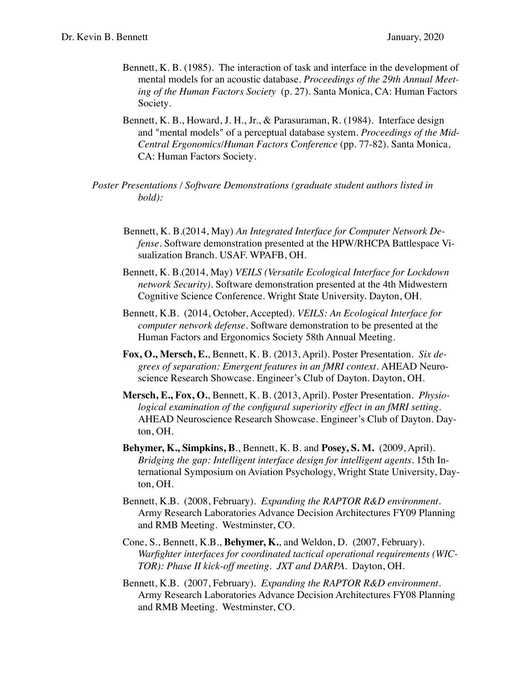- Bennett, K. B. (1985). The interaction of task and interface in the development of mental models for an acoustic database. *Proceedings of the 29th Annual Meeting of the Human Factors Society* (p. 27). Santa Monica, CA: Human Factors Society*.*
- Bennett, K. B., Howard, J. H., Jr., & Parasuraman, R. (1984). Interface design and "mental models" of a perceptual database system. *Proceedings of the Mid-Central Ergonomics/Human Factors Conference* (pp. 77-82). Santa Monica, CA: Human Factors Society*.*
- *Poster Presentations / Software Demonstrations (graduate student authors listed in bold):*
	- Bennett, K. B.(2014, May) *An Integrated Interface for Computer Network Defense*. Software demonstration presented at the HPW/RHCPA Battlespace Visualization Branch. USAF. WPAFB, OH.
	- Bennett, K. B.(2014, May) *VEILS (Versatile Ecological Interface for Lockdown network Security)*. Software demonstration presented at the 4th Midwestern Cognitive Science Conference. Wright State University. Dayton, OH.
	- Bennett, K.B. (2014, October, Accepted). *VEILS: An Ecological Interface for computer network defense*. Software demonstration to be presented at the Human Factors and Ergonomics Society 58th Annual Meeting.
	- **Fox, O., Mersch, E.**, Bennett, K. B. (2013, April). Poster Presentation. *Six degrees of separation: Emergent features in an fMRI context.* AHEAD Neuroscience Research Showcase. Engineer's Club of Dayton. Dayton, OH.
	- **Mersch, E., Fox, O.**, Bennett, K. B. (2013, April). Poster Presentation. *Physiological examination of the configural superiority effect in an fMRI setting.* AHEAD Neuroscience Research Showcase. Engineer's Club of Dayton. Dayton, OH.
	- **Behymer, K., Simpkins, B**., Bennett, K. B. and **Posey, S. M.** (2009, April). *Bridging the gap: Intelligent interface design for intelligent agents*. 15th International Symposium on Aviation Psychology, Wright State University, Dayton, OH.
	- Bennett, K.B. (2008, February). *Expanding the RAPTOR R&D environment*. Army Research Laboratories Advance Decision Architectures FY09 Planning and RMB Meeting. Westminster, CO.
	- Cone, S., Bennett, K.B., **Behymer, K.**, and Weldon, D. (2007, February). *Warfighter interfaces for coordinated tactical operational requirements (WIC-TOR): Phase II kick-off meeting. JXT and DARPA*. Dayton, OH.
	- Bennett, K.B. (2007, February). *Expanding the RAPTOR R&D environment*. Army Research Laboratories Advance Decision Architectures FY08 Planning and RMB Meeting. Westminster, CO.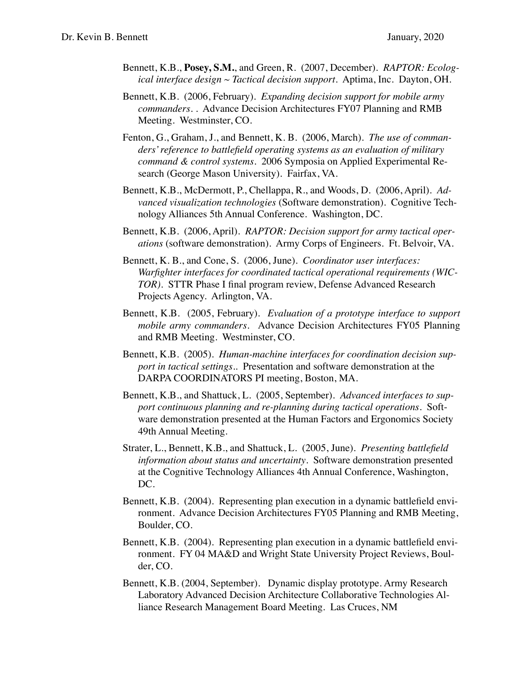- Bennett, K.B., **Posey, S.M.**, and Green, R. (2007, December). *RAPTOR: Ecological interface design ~ Tactical decision support*. Aptima, Inc. Dayton, OH.
- Bennett, K.B. (2006, February). *Expanding decision support for mobile army commanders*. . Advance Decision Architectures FY07 Planning and RMB Meeting. Westminster, CO.
- Fenton, G., Graham, J., and Bennett, K. B. (2006, March). *The use of commanders' reference to battlefield operating systems as an evaluation of military command & control systems*. 2006 Symposia on Applied Experimental Research (George Mason University). Fairfax, VA.
- Bennett, K.B., McDermott, P., Chellappa, R., and Woods, D. (2006, April). *Advanced visualization technologies* (Software demonstration). Cognitive Technology Alliances 5th Annual Conference. Washington, DC.
- Bennett, K.B. (2006, April). *RAPTOR: Decision support for army tactical operations* (software demonstration). Army Corps of Engineers. Ft. Belvoir, VA.
- Bennett, K. B., and Cone, S. (2006, June). *Coordinator user interfaces: Warfighter interfaces for coordinated tactical operational requirements (WIC-TOR)*. STTR Phase I final program review, Defense Advanced Research Projects Agency. Arlington, VA.
- Bennett, K.B. (2005, February). *Evaluation of a prototype interface to support mobile army commanders*. Advance Decision Architectures FY05 Planning and RMB Meeting. Westminster, CO.
- Bennett, K.B. (2005). *Human-machine interfaces for coordination decision support in tactical settings.*. Presentation and software demonstration at the DARPA COORDINATORS PI meeting, Boston, MA.
- Bennett, K.B., and Shattuck, L. (2005, September). *Advanced interfaces to support continuous planning and re-planning during tactical operations*. Software demonstration presented at the Human Factors and Ergonomics Society 49th Annual Meeting.
- Strater, L., Bennett, K.B., and Shattuck, L. (2005, June). *Presenting battlefield information about status and uncertainty*. Software demonstration presented at the Cognitive Technology Alliances 4th Annual Conference, Washington, DC.
- Bennett, K.B. (2004). Representing plan execution in a dynamic battlefield environment. Advance Decision Architectures FY05 Planning and RMB Meeting, Boulder, CO.
- Bennett, K.B. (2004). Representing plan execution in a dynamic battlefield environment. FY 04 MA&D and Wright State University Project Reviews, Boulder, CO.
- Bennett, K.B. (2004, September). Dynamic display prototype. Army Research Laboratory Advanced Decision Architecture Collaborative Technologies Alliance Research Management Board Meeting. Las Cruces, NM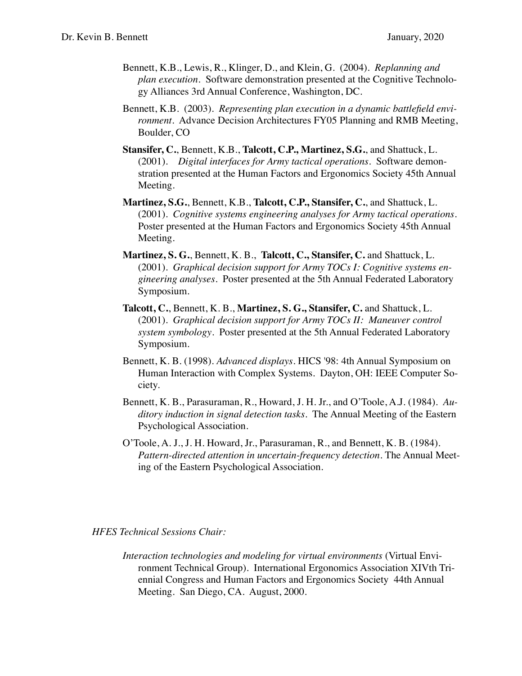- Bennett, K.B., Lewis, R., Klinger, D., and Klein, G. (2004). *Replanning and plan execution*. Software demonstration presented at the Cognitive Technology Alliances 3rd Annual Conference, Washington, DC.
- Bennett, K.B. (2003). *Representing plan execution in a dynamic battlefield environment*. Advance Decision Architectures FY05 Planning and RMB Meeting, Boulder, CO
- **Stansifer, C.**, Bennett, K.B., **Talcott, C.P., Martinez, S.G.**, and Shattuck, L. (2001). *Digital interfaces for Army tactical operations*. Software demonstration presented at the Human Factors and Ergonomics Society 45th Annual Meeting.
- **Martinez, S.G.**, Bennett, K.B., **Talcott, C.P., Stansifer, C.**, and Shattuck, L. (2001). *Cognitive systems engineering analyses for Army tactical operations*. Poster presented at the Human Factors and Ergonomics Society 45th Annual Meeting.
- **Martinez, S. G.**, Bennett, K. B., **Talcott, C., Stansifer, C.** and Shattuck, L. (2001). *Graphical decision support for Army TOCs I: Cognitive systems engineering analyses*. Poster presented at the 5th Annual Federated Laboratory Symposium.
- **Talcott, C.**, Bennett, K. B., **Martinez, S. G., Stansifer, C.** and Shattuck, L. (2001). *Graphical decision support for Army TOCs II: Maneuver control system symbology*. Poster presented at the 5th Annual Federated Laboratory Symposium.
- Bennett, K. B. (1998). *Advanced displays*. HICS '98: 4th Annual Symposium on Human Interaction with Complex Systems. Dayton, OH: IEEE Computer Society.
- Bennett, K. B., Parasuraman, R., Howard, J. H. Jr., and O'Toole, A.J. (1984). *Auditory induction in signal detection tasks*. The Annual Meeting of the Eastern Psychological Association.
- O'Toole, A. J., J. H. Howard, Jr., Parasuraman, R., and Bennett, K. B. (1984). *Pattern-directed attention in uncertain-frequency detection.* The Annual Meeting of the Eastern Psychological Association.

#### *HFES Technical Sessions Chair:*

*Interaction technologies and modeling for virtual environments* (Virtual Environment Technical Group). International Ergonomics Association XIVth Triennial Congress and Human Factors and Ergonomics Society 44th Annual Meeting. San Diego, CA. August, 2000.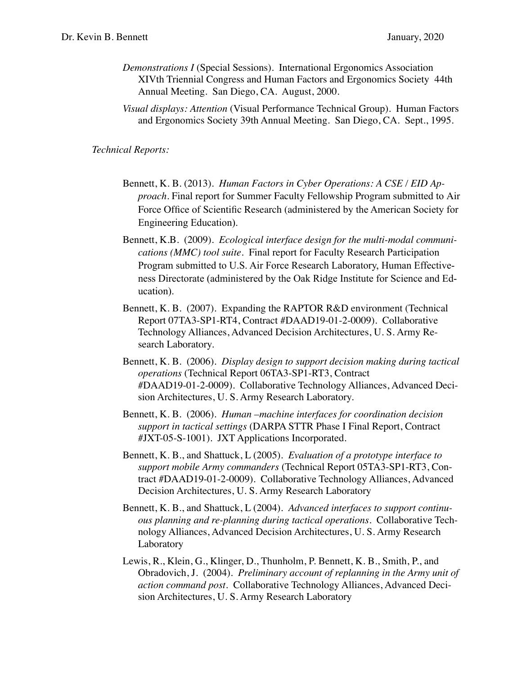- *Demonstrations I* (Special Sessions). International Ergonomics Association XIVth Triennial Congress and Human Factors and Ergonomics Society 44th Annual Meeting. San Diego, CA. August, 2000.
- *Visual displays: Attention* (Visual Performance Technical Group). Human Factors and Ergonomics Society 39th Annual Meeting. San Diego, CA. Sept., 1995.

*Technical Reports:*

- Bennett, K. B. (2013). *Human Factors in Cyber Operations: A CSE / EID Approach*. Final report for Summer Faculty Fellowship Program submitted to Air Force Office of Scientific Research (administered by the American Society for Engineering Education).
- Bennett, K.B. (2009). *Ecological interface design for the multi-modal communications (MMC) tool suite*. Final report for Faculty Research Participation Program submitted to U.S. Air Force Research Laboratory, Human Effectiveness Directorate (administered by the Oak Ridge Institute for Science and Education).
- Bennett, K. B. (2007). Expanding the RAPTOR R&D environment (Technical Report 07TA3-SP1-RT4, Contract #DAAD19-01-2-0009). Collaborative Technology Alliances, Advanced Decision Architectures, U. S. Army Research Laboratory.
- Bennett, K. B. (2006). *Display design to support decision making during tactical operations* (Technical Report 06TA3-SP1-RT3, Contract #DAAD19-01-2-0009). Collaborative Technology Alliances, Advanced Decision Architectures, U. S. Army Research Laboratory.
- Bennett, K. B. (2006). *Human –machine interfaces for coordination decision support in tactical settings* (DARPA STTR Phase I Final Report, Contract #JXT-05-S-1001). JXT Applications Incorporated.
- Bennett, K. B., and Shattuck, L (2005). *Evaluation of a prototype interface to support mobile Army commanders* (Technical Report 05TA3-SP1-RT3, Contract #DAAD19-01-2-0009). Collaborative Technology Alliances, Advanced Decision Architectures, U. S. Army Research Laboratory
- Bennett, K. B., and Shattuck, L (2004). *Advanced interfaces to support continuous planning and re-planning during tactical operations*. Collaborative Technology Alliances, Advanced Decision Architectures, U. S. Army Research Laboratory
- Lewis, R., Klein, G., Klinger, D., Thunholm, P. Bennett, K. B., Smith, P., and Obradovich, J. (2004). *Preliminary account of replanning in the Army unit of action command post*. Collaborative Technology Alliances, Advanced Decision Architectures, U. S. Army Research Laboratory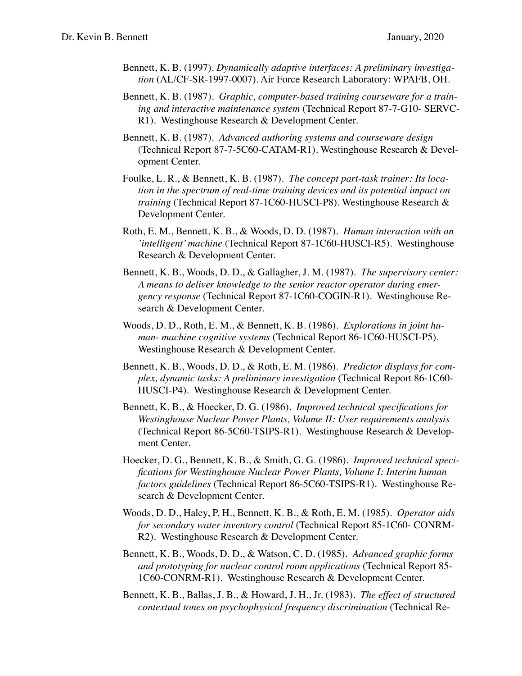- Bennett, K. B. (1997). *Dynamically adaptive interfaces: A preliminary investigation* (AL/CF-SR-1997-0007). Air Force Research Laboratory: WPAFB, OH.
- Bennett, K. B. (1987). *Graphic, computer-based training courseware for a training and interactive maintenance system* (Technical Report 87-7-G10- SERVC-R1). Westinghouse Research & Development Center.
- Bennett, K. B. (1987). *Advanced authoring systems and courseware design* (Technical Report 87-7-5C60-CATAM-R1). Westinghouse Research & Development Center.
- Foulke, L. R., & Bennett, K. B. (1987). *The concept part-task trainer: Its location in the spectrum of real-time training devices and its potential impact on training* (Technical Report 87-1C60-HUSCI-P8). Westinghouse Research & Development Center.
- Roth, E. M., Bennett, K. B., & Woods, D. D. (1987). *Human interaction with an 'intelligent' machine* (Technical Report 87-1C60-HUSCI-R5). Westinghouse Research & Development Center.
- Bennett, K. B., Woods, D. D., & Gallagher, J. M. (1987). *The supervisory center: A means to deliver knowledge to the senior reactor operator during emergency response* (Technical Report 87-1C60-COGIN-R1). Westinghouse Research & Development Center.
- Woods, D. D., Roth, E. M., & Bennett, K. B. (1986). *Explorations in joint human- machine cognitive systems* (Technical Report 86-1C60-HUSCI-P5). Westinghouse Research & Development Center.
- Bennett, K. B., Woods, D. D., & Roth, E. M. (1986). *Predictor displays for complex, dynamic tasks: A preliminary investigation* (Technical Report 86-1C60- HUSCI-P4). Westinghouse Research & Development Center.
- Bennett, K. B., & Hoecker, D. G. (1986). *Improved technical specifications for Westinghouse Nuclear Power Plants, Volume II: User requirements analysis*  (Technical Report 86-5C60-TSIPS-R1). Westinghouse Research & Development Center.
- Hoecker, D. G., Bennett, K. B., & Smith, G. G. (1986). *Improved technical specifications for Westinghouse Nuclear Power Plants, Volume I: Interim human factors guidelines* (Technical Report 86-5C60-TSIPS-R1). Westinghouse Research & Development Center.
- Woods, D. D., Haley, P. H., Bennett, K. B., & Roth, E. M. (1985). *Operator aids for secondary water inventory control* (Technical Report 85-1C60- CONRM-R2). Westinghouse Research & Development Center.
- Bennett, K. B., Woods, D. D., & Watson, C. D. (1985). *Advanced graphic forms and prototyping for nuclear control room applications* (Technical Report 85- 1C60-CONRM-R1). Westinghouse Research & Development Center.
- Bennett, K. B., Ballas, J. B., & Howard, J. H., Jr. (1983). *The effect of structured contextual tones on psychophysical frequency discrimination* (Technical Re-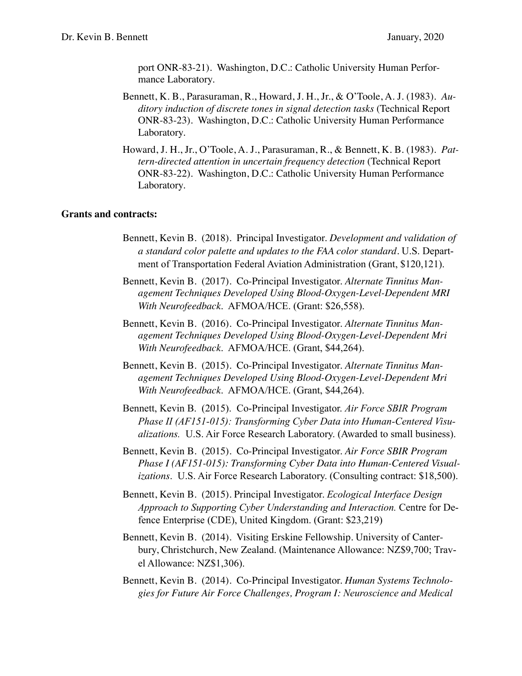port ONR-83-21). Washington, D.C.: Catholic University Human Performance Laboratory.

- Bennett, K. B., Parasuraman, R., Howard, J. H., Jr., & O'Toole, A. J. (1983). *Auditory induction of discrete tones in signal detection tasks* (Technical Report ONR-83-23). Washington, D.C.: Catholic University Human Performance Laboratory.
- Howard, J. H., Jr., O'Toole, A. J., Parasuraman, R., & Bennett, K. B. (1983). *Pattern-directed attention in uncertain frequency detection* (Technical Report ONR-83-22). Washington, D.C.: Catholic University Human Performance Laboratory.

#### **Grants and contracts:**

- Bennett, Kevin B. (2018). Principal Investigator. *Development and validation of a standard color palette and updates to the FAA color standard.* U.S. Department of Transportation Federal Aviation Administration (Grant, \$120,121).
- Bennett, Kevin B. (2017). Co-Principal Investigator. *Alternate Tinnitus Management Techniques Developed Using Blood-Oxygen-Level-Dependent MRI With Neurofeedback*. AFMOA/HCE. (Grant: \$26,558).
- Bennett, Kevin B. (2016). Co-Principal Investigator. *Alternate Tinnitus Management Techniques Developed Using Blood-Oxygen-Level-Dependent Mri With Neurofeedback*. AFMOA/HCE. (Grant, \$44,264).
- Bennett, Kevin B. (2015). Co-Principal Investigator. *Alternate Tinnitus Management Techniques Developed Using Blood-Oxygen-Level-Dependent Mri With Neurofeedback*. AFMOA/HCE. (Grant, \$44,264).
- Bennett, Kevin B. (2015). Co-Principal Investigator. *Air Force SBIR Program Phase II (AF151-015): Transforming Cyber Data into Human-Centered Visualizations.* U.S. Air Force Research Laboratory. (Awarded to small business).
- Bennett, Kevin B. (2015). Co-Principal Investigator. *Air Force SBIR Program Phase I (AF151-015): Transforming Cyber Data into Human-Centered Visualizations*. U.S. Air Force Research Laboratory. (Consulting contract: \$18,500).
- Bennett, Kevin B. (2015). Principal Investigator. *Ecological Interface Design Approach to Supporting Cyber Understanding and Interaction.* Centre for Defence Enterprise (CDE), United Kingdom. (Grant: \$23,219)
- Bennett, Kevin B. (2014). Visiting Erskine Fellowship. University of Canterbury, Christchurch, New Zealand. (Maintenance Allowance: NZ\$9,700; Travel Allowance: NZ\$1,306).
- Bennett, Kevin B. (2014). Co-Principal Investigator. *Human Systems Technologies for Future Air Force Challenges, Program I: Neuroscience and Medical*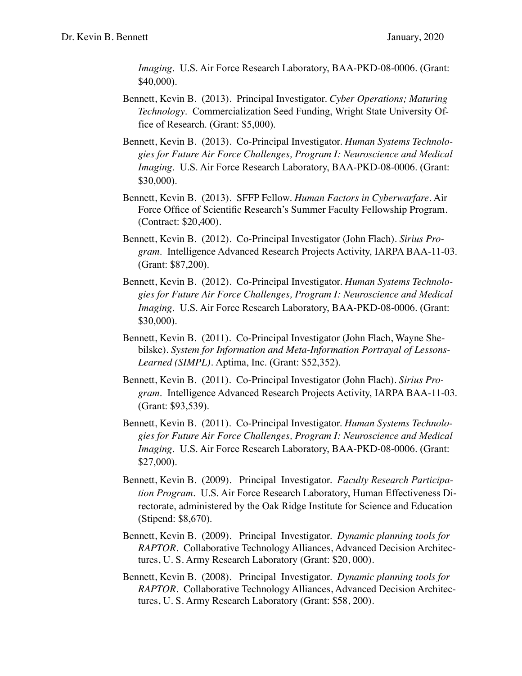*Imaging*. U.S. Air Force Research Laboratory, BAA-PKD-08-0006. (Grant: \$40,000).

- Bennett, Kevin B. (2013). Principal Investigator. *Cyber Operations; Maturing Technology*. Commercialization Seed Funding, Wright State University Office of Research. (Grant: \$5,000).
- Bennett, Kevin B. (2013). Co-Principal Investigator. *Human Systems Technologies for Future Air Force Challenges, Program I: Neuroscience and Medical Imaging*. U.S. Air Force Research Laboratory, BAA-PKD-08-0006. (Grant: \$30,000).
- Bennett, Kevin B. (2013). SFFP Fellow. *Human Factors in Cyberwarfare*. Air Force Office of Scientific Research's Summer Faculty Fellowship Program. (Contract: \$20,400).
- Bennett, Kevin B. (2012). Co-Principal Investigator (John Flach). *Sirius Program*. Intelligence Advanced Research Projects Activity, IARPA BAA-11-03. (Grant: \$87,200).
- Bennett, Kevin B. (2012). Co-Principal Investigator. *Human Systems Technologies for Future Air Force Challenges, Program I: Neuroscience and Medical Imaging*. U.S. Air Force Research Laboratory, BAA-PKD-08-0006. (Grant: \$30,000).
- Bennett, Kevin B. (2011). Co-Principal Investigator (John Flach, Wayne Shebilske). *System for Information and Meta-Information Portrayal of Lessons-Learned (SIMPL).* Aptima, Inc. (Grant: \$52,352).
- Bennett, Kevin B. (2011). Co-Principal Investigator (John Flach). *Sirius Program*. Intelligence Advanced Research Projects Activity, IARPA BAA-11-03. (Grant: \$93,539).
- Bennett, Kevin B. (2011). Co-Principal Investigator. *Human Systems Technologies for Future Air Force Challenges, Program I: Neuroscience and Medical Imaging*. U.S. Air Force Research Laboratory, BAA-PKD-08-0006. (Grant: \$27,000).
- Bennett, Kevin B. (2009). Principal Investigator. *Faculty Research Participation Program*. U.S. Air Force Research Laboratory, Human Effectiveness Directorate, administered by the Oak Ridge Institute for Science and Education (Stipend: \$8,670).
- Bennett, Kevin B. (2009). Principal Investigator. *Dynamic planning tools for RAPTOR*. Collaborative Technology Alliances, Advanced Decision Architectures, U. S. Army Research Laboratory (Grant: \$20, 000).
- Bennett, Kevin B. (2008). Principal Investigator. *Dynamic planning tools for RAPTOR*. Collaborative Technology Alliances, Advanced Decision Architectures, U. S. Army Research Laboratory (Grant: \$58, 200).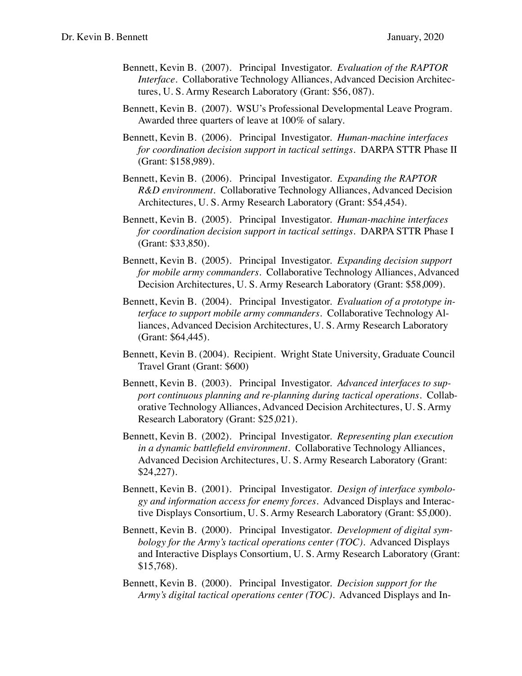- Bennett, Kevin B. (2007). Principal Investigator. *Evaluation of the RAPTOR Interface*. Collaborative Technology Alliances, Advanced Decision Architectures, U. S. Army Research Laboratory (Grant: \$56, 087).
- Bennett, Kevin B. (2007). WSU's Professional Developmental Leave Program. Awarded three quarters of leave at 100% of salary.
- Bennett, Kevin B. (2006). Principal Investigator. *Human-machine interfaces for coordination decision support in tactical settings.* DARPA STTR Phase II (Grant: \$158,989).
- Bennett, Kevin B. (2006). Principal Investigator. *Expanding the RAPTOR R&D environment*. Collaborative Technology Alliances, Advanced Decision Architectures, U. S. Army Research Laboratory (Grant: \$54,454).
- Bennett, Kevin B. (2005). Principal Investigator. *Human-machine interfaces for coordination decision support in tactical settings.* DARPA STTR Phase I (Grant: \$33,850).
- Bennett, Kevin B. (2005). Principal Investigator. *Expanding decision support for mobile army commanders*. Collaborative Technology Alliances, Advanced Decision Architectures, U. S. Army Research Laboratory (Grant: \$58,009).
- Bennett, Kevin B. (2004). Principal Investigator. *Evaluation of a prototype interface to support mobile army commanders*. Collaborative Technology Alliances, Advanced Decision Architectures, U. S. Army Research Laboratory (Grant: \$64,445).
- Bennett, Kevin B. (2004). Recipient. Wright State University, Graduate Council Travel Grant (Grant: \$600)
- Bennett, Kevin B. (2003). Principal Investigator. *Advanced interfaces to support continuous planning and re-planning during tactical operations.* Collaborative Technology Alliances, Advanced Decision Architectures, U. S. Army Research Laboratory (Grant: \$25,021).
- Bennett, Kevin B. (2002). Principal Investigator. *Representing plan execution in a dynamic battlefield environment*. Collaborative Technology Alliances, Advanced Decision Architectures, U. S. Army Research Laboratory (Grant: \$24,227).
- Bennett, Kevin B. (2001). Principal Investigator. *Design of interface symbology and information access for enemy forces*. Advanced Displays and Interactive Displays Consortium, U. S. Army Research Laboratory (Grant: \$5,000).
- Bennett, Kevin B. (2000). Principal Investigator. *Development of digital symbology for the Army's tactical operations center (TOC)*. Advanced Displays and Interactive Displays Consortium, U. S. Army Research Laboratory (Grant: \$15,768).
- Bennett, Kevin B. (2000). Principal Investigator. *Decision support for the Army's digital tactical operations center (TOC)*. Advanced Displays and In-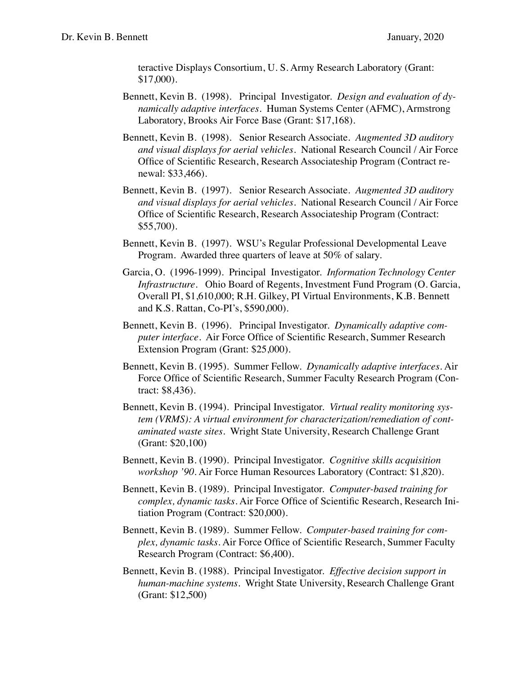teractive Displays Consortium, U. S. Army Research Laboratory (Grant: \$17,000).

- Bennett, Kevin B. (1998). Principal Investigator. *Design and evaluation of dynamically adaptive interfaces*. Human Systems Center (AFMC), Armstrong Laboratory, Brooks Air Force Base (Grant: \$17,168).
- Bennett, Kevin B. (1998). Senior Research Associate. *Augmented 3D auditory and visual displays for aerial vehicles*. National Research Council / Air Force Office of Scientific Research, Research Associateship Program (Contract renewal: \$33,466).
- Bennett, Kevin B. (1997). Senior Research Associate. *Augmented 3D auditory and visual displays for aerial vehicles*. National Research Council / Air Force Office of Scientific Research, Research Associateship Program (Contract: \$55,700).
- Bennett, Kevin B. (1997). WSU's Regular Professional Developmental Leave Program. Awarded three quarters of leave at 50% of salary.
- Garcia, O. (1996-1999). Principal Investigator. *Information Technology Center Infrastructure*. Ohio Board of Regents, Investment Fund Program (O. Garcia, Overall PI, \$1,610,000; R.H. Gilkey, PI Virtual Environments, K.B. Bennett and K.S. Rattan, Co-PI's, \$590,000).
- Bennett, Kevin B. (1996). Principal Investigator. *Dynamically adaptive computer interface*. Air Force Office of Scientific Research, Summer Research Extension Program (Grant: \$25,000).
- Bennett, Kevin B. (1995). Summer Fellow. *Dynamically adaptive interfaces*. Air Force Office of Scientific Research, Summer Faculty Research Program (Contract: \$8,436).
- Bennett, Kevin B. (1994). Principal Investigator. *Virtual reality monitoring system (VRMS): A virtual environment for characterization/remediation of contaminated waste sites*. Wright State University, Research Challenge Grant (Grant: \$20,100)
- Bennett, Kevin B. (1990). Principal Investigator. *Cognitive skills acquisition workshop '90*. Air Force Human Resources Laboratory (Contract: \$1,820).
- Bennett, Kevin B. (1989). Principal Investigator. *Computer-based training for complex, dynamic tasks*. Air Force Office of Scientific Research, Research Initiation Program (Contract: \$20,000).
- Bennett, Kevin B. (1989). Summer Fellow. *Computer-based training for complex, dynamic tasks*. Air Force Office of Scientific Research, Summer Faculty Research Program (Contract: \$6,400).
- Bennett, Kevin B. (1988). Principal Investigator. *Effective decision support in human-machine systems*. Wright State University, Research Challenge Grant (Grant: \$12,500)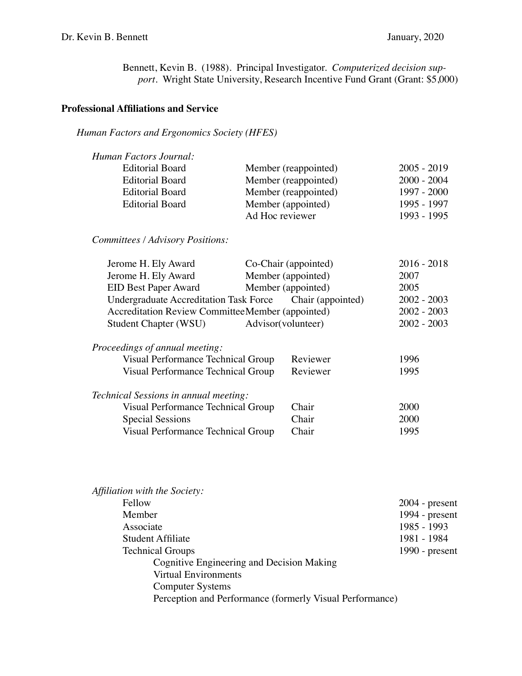Bennett, Kevin B. (1988). Principal Investigator. *Computerized decision support*. Wright State University, Research Incentive Fund Grant (Grant: \$5,000)

## **Professional Affiliations and Service**

## *Human Factors and Ergonomics Society (HFES)*

| Human Factors Journal:                           |                                                          |               |
|--------------------------------------------------|----------------------------------------------------------|---------------|
| <b>Editorial Board</b>                           | Member (reappointed)                                     | $2005 - 2019$ |
| <b>Editorial Board</b>                           | Member (reappointed)                                     | $2000 - 2004$ |
| <b>Editorial Board</b>                           | Member (reappointed)                                     | 1997 - 2000   |
| <b>Editorial Board</b>                           | Member (appointed)                                       | 1995 - 1997   |
|                                                  | Ad Hoc reviewer                                          | 1993 - 1995   |
| Committees / Advisory Positions:                 |                                                          |               |
| Jerome H. Ely Award                              | Co-Chair (appointed)                                     | $2016 - 2018$ |
| Jerome H. Ely Award                              | Member (appointed)                                       | 2007          |
| <b>EID Best Paper Award</b>                      | Member (appointed)                                       | 2005          |
|                                                  | Undergraduate Accreditation Task Force Chair (appointed) | $2002 - 2003$ |
| Accreditation Review CommitteeMember (appointed) |                                                          | $2002 - 2003$ |
| Student Chapter (WSU)                            | Advisor(volunteer)                                       | $2002 - 2003$ |
| Proceedings of annual meeting:                   |                                                          |               |
| Visual Performance Technical Group               | Reviewer                                                 | 1996          |
| Visual Performance Technical Group               | Reviewer                                                 | 1995          |
| Technical Sessions in annual meeting:            |                                                          |               |
| Visual Performance Technical Group               | Chair                                                    | 2000          |
| <b>Special Sessions</b>                          | Chair                                                    | 2000          |
| Visual Performance Technical Group               | Chair                                                    | 1995          |
|                                                  |                                                          |               |

| Affiliation with the Society:                            |                  |
|----------------------------------------------------------|------------------|
| Fellow                                                   | $2004$ - present |
| Member                                                   | 1994 - $present$ |
| Associate                                                | 1985 - 1993      |
| Student Affiliate                                        | 1981 - 1984      |
| <b>Technical Groups</b>                                  | 1990 - $present$ |
| Cognitive Engineering and Decision Making                |                  |
| <b>Virtual Environments</b>                              |                  |
| <b>Computer Systems</b>                                  |                  |
| Perception and Performance (formerly Visual Performance) |                  |
|                                                          |                  |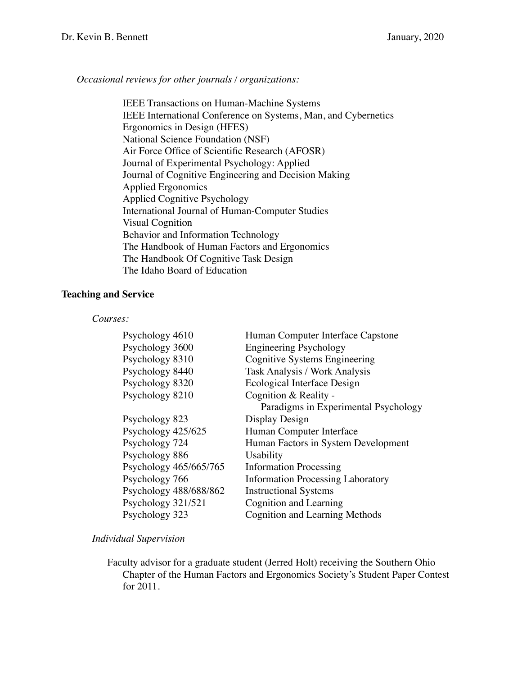## *Occasional reviews for other journals / organizations:*

IEEE Transactions on Human-Machine Systems IEEE International Conference on Systems, Man, and Cybernetics Ergonomics in Design (HFES) National Science Foundation (NSF) Air Force Office of Scientific Research (AFOSR) Journal of Experimental Psychology: Applied Journal of Cognitive Engineering and Decision Making Applied Ergonomics Applied Cognitive Psychology International Journal of Human-Computer Studies Visual Cognition Behavior and Information Technology The Handbook of Human Factors and Ergonomics The Handbook Of Cognitive Task Design The Idaho Board of Education

## **Teaching and Service**

#### *Courses:*

| Psychology 4610                    | Human Computer Interface Capstone                                     |
|------------------------------------|-----------------------------------------------------------------------|
| Psychology 3600<br>Psychology 8310 | <b>Engineering Psychology</b><br><b>Cognitive Systems Engineering</b> |
| Psychology 8440                    | <b>Task Analysis / Work Analysis</b>                                  |
| Psychology 8320                    | Ecological Interface Design                                           |
| Psychology 8210                    | Cognition & Reality -                                                 |
|                                    | Paradigms in Experimental Psychology                                  |
| Psychology 823                     | Display Design                                                        |
| Psychology 425/625                 | Human Computer Interface                                              |
| Psychology 724                     | Human Factors in System Development                                   |
| Psychology 886                     | Usability                                                             |
| Psychology 465/665/765             | <b>Information Processing</b>                                         |
| Psychology 766                     | <b>Information Processing Laboratory</b>                              |
| Psychology 488/688/862             | <b>Instructional Systems</b>                                          |
| Psychology 321/521                 | Cognition and Learning                                                |
| Psychology 323                     | <b>Cognition and Learning Methods</b>                                 |

### *Individual Supervision*

Faculty advisor for a graduate student (Jerred Holt) receiving the Southern Ohio Chapter of the Human Factors and Ergonomics Society's Student Paper Contest for 2011.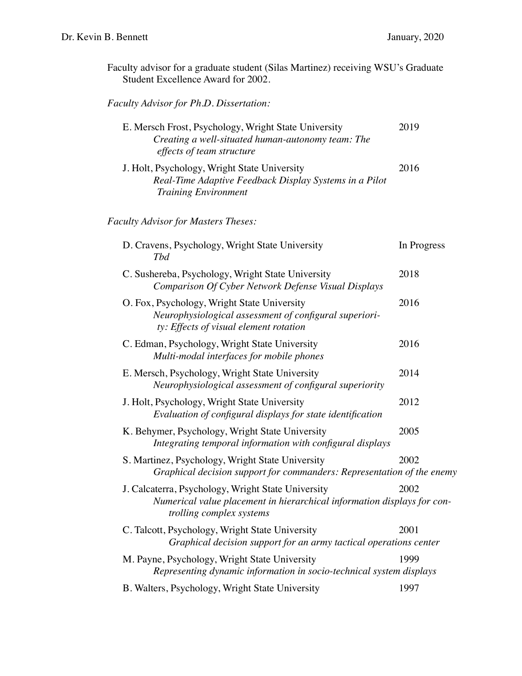| Faculty advisor for a graduate student (Silas Martinez) receiving WSU's Graduate |  |  |
|----------------------------------------------------------------------------------|--|--|
| Student Excellence Award for 2002.                                               |  |  |

# *Faculty Advisor for Ph.D. Dissertation:*

| E. Mersch Frost, Psychology, Wright State University<br>Creating a well-situated human-autonomy team: The<br>effects of team structure                    | 2019        |
|-----------------------------------------------------------------------------------------------------------------------------------------------------------|-------------|
| J. Holt, Psychology, Wright State University<br>Real-Time Adaptive Feedback Display Systems in a Pilot<br><b>Training Environment</b>                     | 2016        |
| <b>Faculty Advisor for Masters Theses:</b>                                                                                                                |             |
| D. Cravens, Psychology, Wright State University<br>Tbd                                                                                                    | In Progress |
| C. Sushereba, Psychology, Wright State University<br>Comparison Of Cyber Network Defense Visual Displays                                                  | 2018        |
| O. Fox, Psychology, Wright State University<br>Neurophysiological assessment of configural superiori-<br>ty: Effects of visual element rotation           | 2016        |
| C. Edman, Psychology, Wright State University<br>Multi-modal interfaces for mobile phones                                                                 | 2016        |
| E. Mersch, Psychology, Wright State University<br>Neurophysiological assessment of configural superiority                                                 | 2014        |
| J. Holt, Psychology, Wright State University<br>Evaluation of configural displays for state identification                                                | 2012        |
| K. Behymer, Psychology, Wright State University<br>Integrating temporal information with configural displays                                              | 2005        |
| S. Martinez, Psychology, Wright State University<br>Graphical decision support for commanders: Representation of the enemy                                | 2002        |
| J. Calcaterra, Psychology, Wright State University<br>Numerical value placement in hierarchical information displays for con-<br>trolling complex systems | 2002        |
| C. Talcott, Psychology, Wright State University<br>Graphical decision support for an army tactical operations center                                      | 2001        |
| M. Payne, Psychology, Wright State University<br>Representing dynamic information in socio-technical system displays                                      | 1999        |
| B. Walters, Psychology, Wright State University                                                                                                           | 1997        |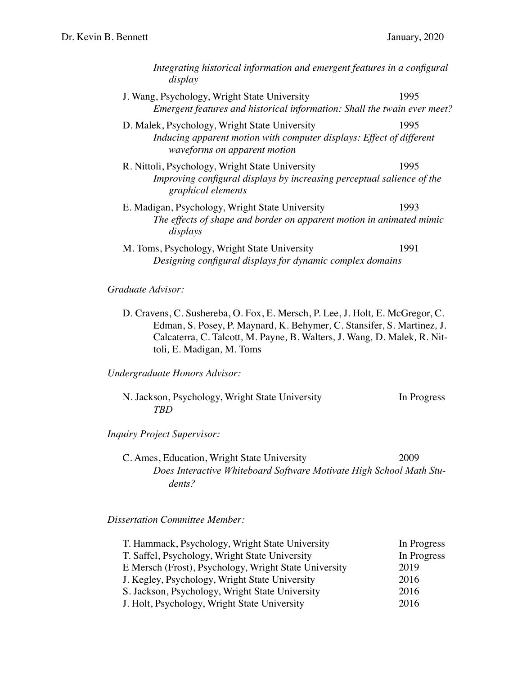| Integrating historical information and emergent features in a configural<br>display                                                                   |      |
|-------------------------------------------------------------------------------------------------------------------------------------------------------|------|
| J. Wang, Psychology, Wright State University<br>Emergent features and historical information: Shall the twain ever meet?                              | 1995 |
| D. Malek, Psychology, Wright State University<br>Inducing apparent motion with computer displays: Effect of different<br>waveforms on apparent motion | 1995 |
| R. Nittoli, Psychology, Wright State University<br>Improving configural displays by increasing perceptual salience of the<br>graphical elements       | 1995 |
| E. Madigan, Psychology, Wright State University<br>The effects of shape and border on apparent motion in animated mimic<br>displays                   | 1993 |
| M. Toms, Psychology, Wright State University<br>Designing configural displays for dynamic complex domains                                             | 1991 |
| Graduate Advisor:                                                                                                                                     |      |

D. Cravens, C. Sushereba, O. Fox, E. Mersch, P. Lee, J. Holt*,* E. McGregor, C. Edman, S. Posey, P. Maynard, K. Behymer*,* C. Stansifer, S. Martinez*,* J. Calcaterra*,* C. Talcott*,* M. Payne*,* B. Walters*,* J. Wang*,* D. Malek*,* R. Nittoli*,* E. Madigan*,* M. Toms

*Undergraduate Honors Advisor:*

| N. Jackson, Psychology, Wright State University | In Progress |
|-------------------------------------------------|-------------|
| TRD.                                            |             |

*Inquiry Project Supervisor:*

C. Ames, Education, Wright State University 2009 *Does Interactive Whiteboard Software Motivate High School Math Students?*

*Dissertation Committee Member:*

| T. Hammack, Psychology, Wright State University       | In Progress |
|-------------------------------------------------------|-------------|
| T. Saffel, Psychology, Wright State University        | In Progress |
| E Mersch (Frost), Psychology, Wright State University | 2019        |
| J. Kegley, Psychology, Wright State University        | 2016        |
| S. Jackson, Psychology, Wright State University       | 2016        |
| J. Holt, Psychology, Wright State University          | 2016        |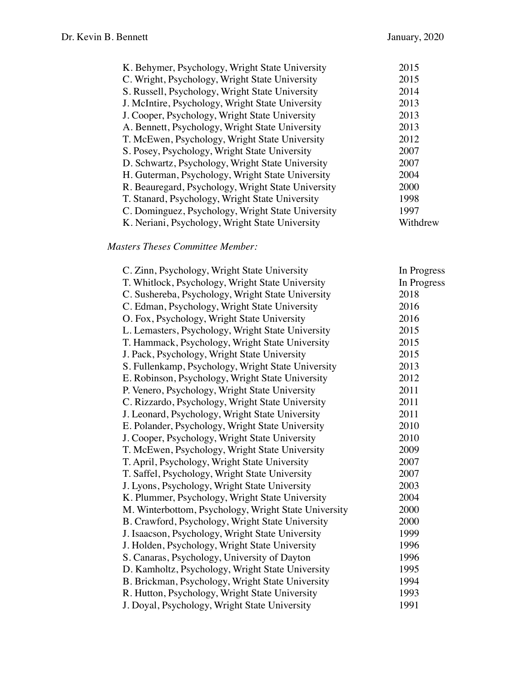| K. Behymer, Psychology, Wright State University    | 2015     |
|----------------------------------------------------|----------|
| C. Wright, Psychology, Wright State University     | 2015     |
| S. Russell, Psychology, Wright State University    | 2014     |
| J. McIntire, Psychology, Wright State University   | 2013     |
| J. Cooper, Psychology, Wright State University     | 2013     |
| A. Bennett, Psychology, Wright State University    | 2013     |
| T. McEwen, Psychology, Wright State University     | 2012     |
| S. Posey, Psychology, Wright State University      | 2007     |
| D. Schwartz, Psychology, Wright State University   | 2007     |
| H. Guterman, Psychology, Wright State University   | 2004     |
| R. Beauregard, Psychology, Wright State University | 2000     |
| T. Stanard, Psychology, Wright State University    | 1998     |
| C. Dominguez, Psychology, Wright State University  | 1997     |
| K. Neriani, Psychology, Wright State University    | Withdrew |

## *Masters Theses Committee Member:*

| C. Zinn, Psychology, Wright State University         | In Progress |
|------------------------------------------------------|-------------|
| T. Whitlock, Psychology, Wright State University     | In Progress |
| C. Sushereba, Psychology, Wright State University    | 2018        |
| C. Edman, Psychology, Wright State University        | 2016        |
| O. Fox, Psychology, Wright State University          | 2016        |
| L. Lemasters, Psychology, Wright State University    | 2015        |
| T. Hammack, Psychology, Wright State University      | 2015        |
| J. Pack, Psychology, Wright State University         | 2015        |
| S. Fullenkamp, Psychology, Wright State University   | 2013        |
| E. Robinson, Psychology, Wright State University     | 2012        |
| P. Venero, Psychology, Wright State University       | 2011        |
| C. Rizzardo, Psychology, Wright State University     | 2011        |
| J. Leonard, Psychology, Wright State University      | 2011        |
| E. Polander, Psychology, Wright State University     | 2010        |
| J. Cooper, Psychology, Wright State University       | 2010        |
| T. McEwen, Psychology, Wright State University       | 2009        |
| T. April, Psychology, Wright State University        | 2007        |
| T. Saffel, Psychology, Wright State University       | 2007        |
| J. Lyons, Psychology, Wright State University        | 2003        |
| K. Plummer, Psychology, Wright State University      | 2004        |
| M. Winterbottom, Psychology, Wright State University | 2000        |
| B. Crawford, Psychology, Wright State University     | 2000        |
| J. Isaacson, Psychology, Wright State University     | 1999        |
| J. Holden, Psychology, Wright State University       | 1996        |
| S. Canaras, Psychology, University of Dayton         | 1996        |
| D. Kamholtz, Psychology, Wright State University     | 1995        |
| B. Brickman, Psychology, Wright State University     | 1994        |
| R. Hutton, Psychology, Wright State University       | 1993        |
| J. Doyal, Psychology, Wright State University        | 1991        |
|                                                      |             |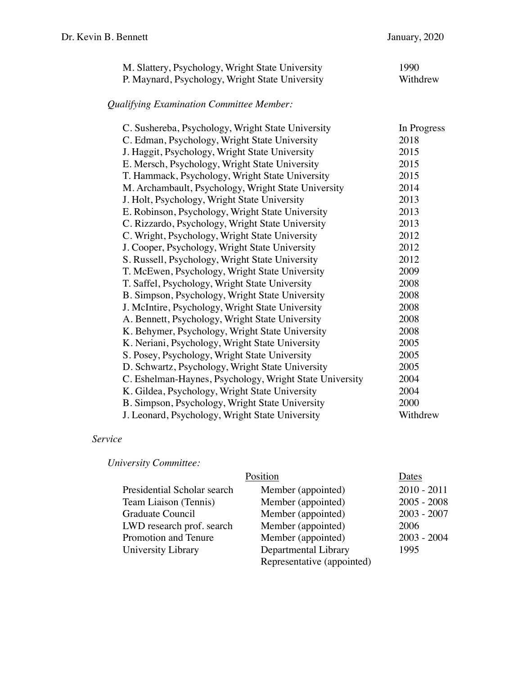| M. Slattery, Psychology, Wright State University | 1990     |
|--------------------------------------------------|----------|
| P. Maynard, Psychology, Wright State University  | Withdrew |

# *Qualifying Examination Committee Member:*

| C. Sushereba, Psychology, Wright State University       | In Progress |
|---------------------------------------------------------|-------------|
| C. Edman, Psychology, Wright State University           | 2018        |
| J. Haggit, Psychology, Wright State University          | 2015        |
| E. Mersch, Psychology, Wright State University          | 2015        |
| T. Hammack, Psychology, Wright State University         | 2015        |
| M. Archambault, Psychology, Wright State University     | 2014        |
| J. Holt, Psychology, Wright State University            | 2013        |
| E. Robinson, Psychology, Wright State University        | 2013        |
| C. Rizzardo, Psychology, Wright State University        | 2013        |
| C. Wright, Psychology, Wright State University          | 2012        |
| J. Cooper, Psychology, Wright State University          | 2012        |
| S. Russell, Psychology, Wright State University         | 2012        |
| T. McEwen, Psychology, Wright State University          | 2009        |
| T. Saffel, Psychology, Wright State University          | 2008        |
| B. Simpson, Psychology, Wright State University         | 2008        |
| J. McIntire, Psychology, Wright State University        | 2008        |
| A. Bennett, Psychology, Wright State University         | 2008        |
| K. Behymer, Psychology, Wright State University         | 2008        |
| K. Neriani, Psychology, Wright State University         | 2005        |
| S. Posey, Psychology, Wright State University           | 2005        |
| D. Schwartz, Psychology, Wright State University        | 2005        |
| C. Eshelman-Haynes, Psychology, Wright State University | 2004        |
| K. Gildea, Psychology, Wright State University          | 2004        |
| B. Simpson, Psychology, Wright State University         | 2000        |
| J. Leonard, Psychology, Wright State University         | Withdrew    |

## *Service*

*University Committee:*

|                             | Position                   | Dates         |
|-----------------------------|----------------------------|---------------|
| Presidential Scholar search | Member (appointed)         | $2010 - 2011$ |
| Team Liaison (Tennis)       | Member (appointed)         | $2005 - 2008$ |
| Graduate Council            | Member (appointed)         | $2003 - 2007$ |
| LWD research prof. search   | Member (appointed)         | 2006          |
| Promotion and Tenure        | Member (appointed)         | $2003 - 2004$ |
| University Library          | Departmental Library       | 1995          |
|                             | Representative (appointed) |               |